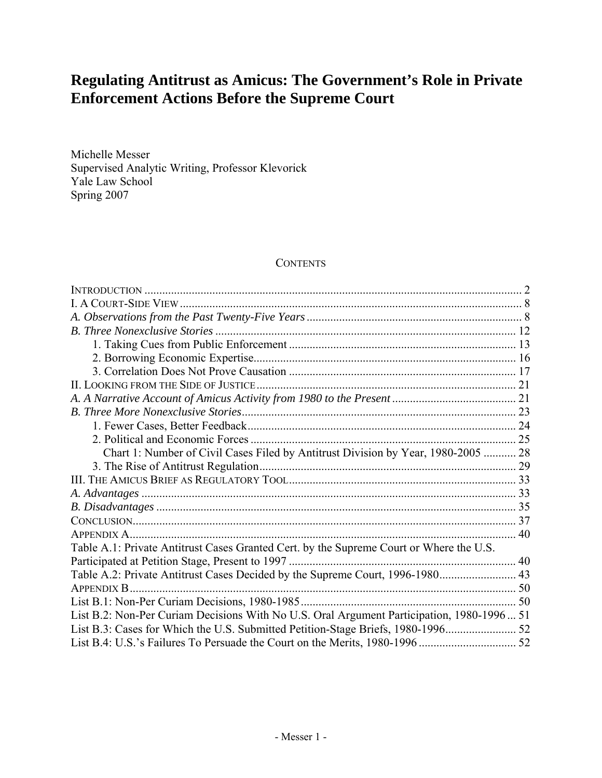# **Regulating Antitrust as Amicus: The Government's Role in Private Enforcement Actions Before the Supreme Court**

Michelle Messer Supervised Analytic Writing, Professor Klevorick Yale Law School Spring 2007

## **CONTENTS**

| Chart 1: Number of Civil Cases Filed by Antitrust Division by Year, 1980-2005  28         |  |
|-------------------------------------------------------------------------------------------|--|
|                                                                                           |  |
|                                                                                           |  |
|                                                                                           |  |
|                                                                                           |  |
|                                                                                           |  |
|                                                                                           |  |
| Table A.1: Private Antitrust Cases Granted Cert. by the Supreme Court or Where the U.S.   |  |
|                                                                                           |  |
| Table A.2: Private Antitrust Cases Decided by the Supreme Court, 1996-1980 43             |  |
| APPENDIX B                                                                                |  |
|                                                                                           |  |
| List B.2: Non-Per Curiam Decisions With No U.S. Oral Argument Participation, 1980-1996 51 |  |
|                                                                                           |  |
|                                                                                           |  |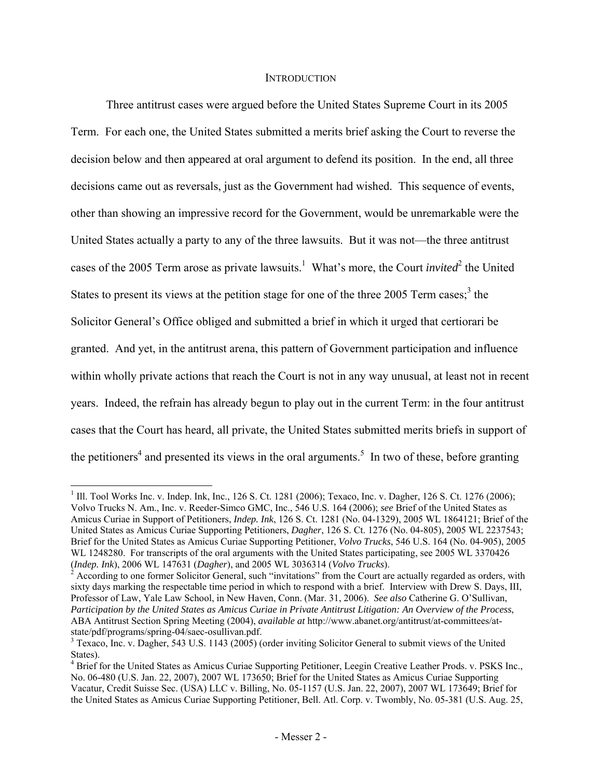#### **INTRODUCTION**

 Three antitrust cases were argued before the United States Supreme Court in its 2005 Term. For each one, the United States submitted a merits brief asking the Court to reverse the decision below and then appeared at oral argument to defend its position. In the end, all three decisions came out as reversals, just as the Government had wished. This sequence of events, other than showing an impressive record for the Government, would be unremarkable were the United States actually a party to any of the three lawsuits. But it was not—the three antitrust cases of the 2005 Term arose as private lawsuits.<sup>1</sup> What's more, the Court *invited*<sup>2</sup> the United States to present its views at the petition stage for one of the three 2005 Term cases;<sup>3</sup> the Solicitor General's Office obliged and submitted a brief in which it urged that certiorari be granted. And yet, in the antitrust arena, this pattern of Government participation and influence within wholly private actions that reach the Court is not in any way unusual, at least not in recent years. Indeed, the refrain has already begun to play out in the current Term: in the four antitrust cases that the Court has heard, all private, the United States submitted merits briefs in support of the petitioners<sup>4</sup> and presented its views in the oral arguments.<sup>5</sup> In two of these, before granting

 $\overline{a}$ 

<sup>&</sup>lt;sup>1</sup> Ill. Tool Works Inc. v. Indep. Ink, Inc., 126 S. Ct. 1281 (2006); Texaco, Inc. v. Dagher, 126 S. Ct. 1276 (2006); Volvo Trucks N. Am., Inc. v. Reeder-Simco GMC, Inc., 546 U.S. 164 (2006); *see* Brief of the United States as Amicus Curiae in Support of Petitioners, *Indep. Ink*, 126 S. Ct. 1281 (No. 04-1329), 2005 WL 1864121; Brief of the United States as Amicus Curiae Supporting Petitioners, *Dagher*, 126 S. Ct. 1276 (No. 04-805), 2005 WL 2237543; Brief for the United States as Amicus Curiae Supporting Petitioner, *Volvo Trucks*, 546 U.S. 164 (No. 04-905), 2005 WL 1248280. For transcripts of the oral arguments with the United States participating, see 2005 WL 3370426 (*Indep. Ink*), 2006 WL 147631 (*Dagher*), and 2005 WL 3036314 (*Volvo Trucks*). 2

 $\lambda$  According to one former Solicitor General, such "invitations" from the Court are actually regarded as orders, with sixty days marking the respectable time period in which to respond with a brief. Interview with Drew S. Days, III, Professor of Law, Yale Law School, in New Haven, Conn. (Mar. 31, 2006). *See also* Catherine G. O'Sullivan, *Participation by the United States as Amicus Curiae in Private Antitrust Litigation: An Overview of the Process*, ABA Antitrust Section Spring Meeting (2004), *available at* http://www.abanet.org/antitrust/at-committees/atstate/pdf/programs/spring-04/saec-osullivan.pdf. 3

<sup>&</sup>lt;sup>3</sup> Texaco, Inc. v. Dagher, 543 U.S. 1143 (2005) (order inviting Solicitor General to submit views of the United States).

<sup>&</sup>lt;sup>4</sup> Brief for the United States as Amicus Curiae Supporting Petitioner, Leegin Creative Leather Prods. v. PSKS Inc., No. 06-480 (U.S. Jan. 22, 2007), 2007 WL 173650; Brief for the United States as Amicus Curiae Supporting Vacatur, Credit Suisse Sec. (USA) LLC v. Billing, No. 05-1157 (U.S. Jan. 22, 2007), 2007 WL 173649; Brief for the United States as Amicus Curiae Supporting Petitioner, Bell. Atl. Corp. v. Twombly, No. 05-381 (U.S. Aug. 25,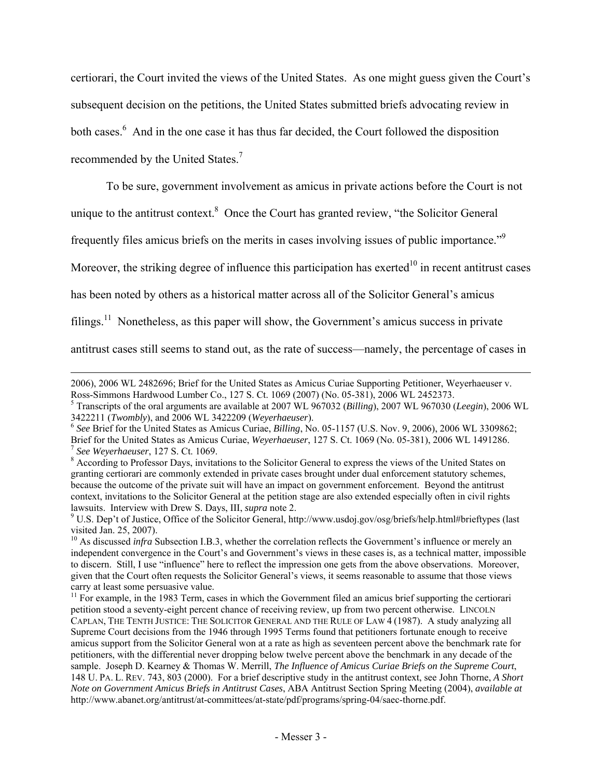certiorari, the Court invited the views of the United States. As one might guess given the Court's subsequent decision on the petitions, the United States submitted briefs advocating review in both cases.<sup>6</sup> And in the one case it has thus far decided, the Court followed the disposition recommended by the United States.7

To be sure, government involvement as amicus in private actions before the Court is not

unique to the antitrust context. $8$  Once the Court has granted review, "the Solicitor General

frequently files amicus briefs on the merits in cases involving issues of public importance."<sup>9</sup>

Moreover, the striking degree of influence this participation has exerted<sup>10</sup> in recent antitrust cases

has been noted by others as a historical matter across all of the Solicitor General's amicus

filings.<sup>11</sup> Nonetheless, as this paper will show, the Government's amicus success in private

antitrust cases still seems to stand out, as the rate of success—namely, the percentage of cases in

l 2006), 2006 WL 2482696; Brief for the United States as Amicus Curiae Supporting Petitioner, Weyerhaeuser v. Ross-Simmons Hardwood Lumber Co., 127 S. Ct. 1069 (2007) (No. 05-381), 2006 WL 2452373.

<sup>5</sup> Transcripts of the oral arguments are available at 2007 WL 967032 (*Billing*), 2007 WL 967030 (*Leegin*), 2006 WL 3422211 (*Twombly*), and 2006 WL 3422209 (*Weyerhaeuser*). 6 *See* Brief for the United States as Amicus Curiae, *Billing*, No. 05-1157 (U.S. Nov. 9, 2006), 2006 WL 3309862;

Brief for the United States as Amicus Curiae, Weyerhaeuser, 127 S. Ct. 1069 (No. 05-381), 2006 WL 1491286.<br><sup>7</sup> See Weyerhaeuser, 127 S. Ct. 1069.<br><sup>8</sup> According to Professor Days, invitations to the Solicitor General to exp

granting certiorari are commonly extended in private cases brought under dual enforcement statutory schemes, because the outcome of the private suit will have an impact on government enforcement. Beyond the antitrust context, invitations to the Solicitor General at the petition stage are also extended especially often in civil rights lawsuits. Interview with Drew S. Days, III, *supra* note 2.

<sup>&</sup>lt;sup>9</sup> U.S. Dep't of Justice, Office of the Solicitor General, http://www.usdoj.gov/osg/briefs/help.html#brieftypes (last visited Jan. 25, 2007).

<sup>&</sup>lt;sup>10</sup> As discussed *infra* Subsection I.B.3, whether the correlation reflects the Government's influence or merely an independent convergence in the Court's and Government's views in these cases is, as a technical matter, impossible to discern. Still, I use "influence" here to reflect the impression one gets from the above observations. Moreover, given that the Court often requests the Solicitor General's views, it seems reasonable to assume that those views carry at least some persuasive value.

<sup>&</sup>lt;sup>11</sup> For example, in the 1983 Term, cases in which the Government filed an amicus brief supporting the certiorari petition stood a seventy-eight percent chance of receiving review, up from two percent otherwise. LINCOLN CAPLAN, THE TENTH JUSTICE: THE SOLICITOR GENERAL AND THE RULE OF LAW 4 (1987). A study analyzing all Supreme Court decisions from the 1946 through 1995 Terms found that petitioners fortunate enough to receive amicus support from the Solicitor General won at a rate as high as seventeen percent above the benchmark rate for petitioners, with the differential never dropping below twelve percent above the benchmark in any decade of the sample. Joseph D. Kearney & Thomas W. Merrill, *The Influence of Amicus Curiae Briefs on the Supreme Court*, 148 U. PA. L. REV. 743, 803 (2000). For a brief descriptive study in the antitrust context, see John Thorne, *A Short Note on Government Amicus Briefs in Antitrust Cases*, ABA Antitrust Section Spring Meeting (2004), *available at* http://www.abanet.org/antitrust/at-committees/at-state/pdf/programs/spring-04/saec-thorne.pdf.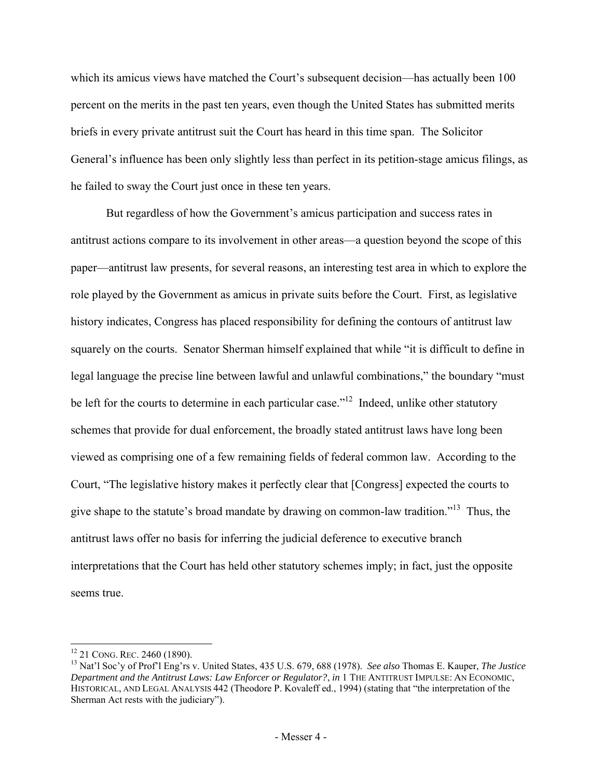which its amicus views have matched the Court's subsequent decision—has actually been 100 percent on the merits in the past ten years, even though the United States has submitted merits briefs in every private antitrust suit the Court has heard in this time span. The Solicitor General's influence has been only slightly less than perfect in its petition-stage amicus filings, as he failed to sway the Court just once in these ten years.

But regardless of how the Government's amicus participation and success rates in antitrust actions compare to its involvement in other areas—a question beyond the scope of this paper—antitrust law presents, for several reasons, an interesting test area in which to explore the role played by the Government as amicus in private suits before the Court. First, as legislative history indicates, Congress has placed responsibility for defining the contours of antitrust law squarely on the courts. Senator Sherman himself explained that while "it is difficult to define in legal language the precise line between lawful and unlawful combinations," the boundary "must be left for the courts to determine in each particular case.<sup>"12</sup> Indeed, unlike other statutory schemes that provide for dual enforcement, the broadly stated antitrust laws have long been viewed as comprising one of a few remaining fields of federal common law. According to the Court, "The legislative history makes it perfectly clear that [Congress] expected the courts to give shape to the statute's broad mandate by drawing on common-law tradition."13 Thus, the antitrust laws offer no basis for inferring the judicial deference to executive branch interpretations that the Court has held other statutory schemes imply; in fact, just the opposite seems true.

<sup>&</sup>lt;sup>12</sup> 21 CONG. REC. 2460 (1890).

<sup>&</sup>lt;sup>13</sup> Nat'l Soc'y of Prof'l Eng'rs v. United States, 435 U.S. 679, 688 (1978). *See also* Thomas E. Kauper, *The Justice Department and the Antitrust Laws: Law Enforcer or Regulator?*, *in* 1 THE ANTITRUST IMPULSE: AN ECONOMIC, HISTORICAL, AND LEGAL ANALYSIS 442 (Theodore P. Kovaleff ed., 1994) (stating that "the interpretation of the Sherman Act rests with the judiciary").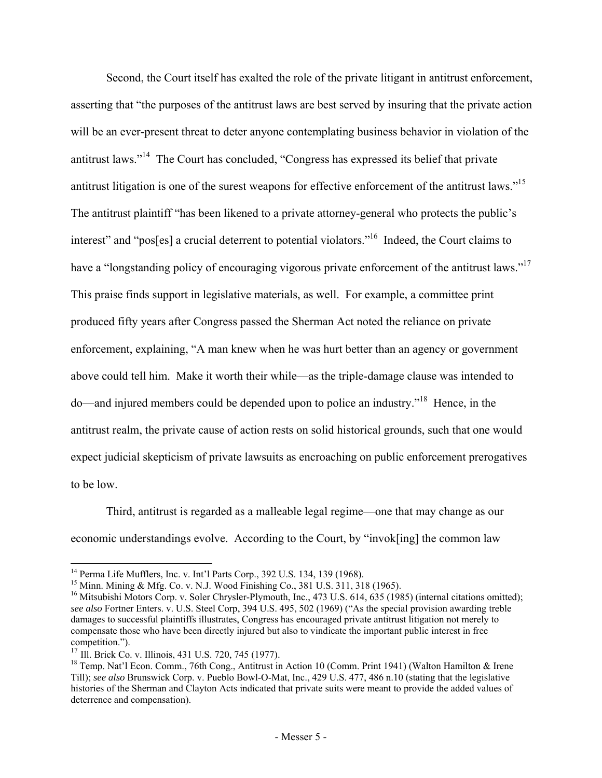Second, the Court itself has exalted the role of the private litigant in antitrust enforcement, asserting that "the purposes of the antitrust laws are best served by insuring that the private action will be an ever-present threat to deter anyone contemplating business behavior in violation of the antitrust laws."14 The Court has concluded, "Congress has expressed its belief that private antitrust litigation is one of the surest weapons for effective enforcement of the antitrust laws."<sup>15</sup> The antitrust plaintiff "has been likened to a private attorney-general who protects the public's interest" and "pos[es] a crucial deterrent to potential violators."<sup>16</sup> Indeed, the Court claims to have a "longstanding policy of encouraging vigorous private enforcement of the antitrust laws."<sup>17</sup> This praise finds support in legislative materials, as well. For example, a committee print produced fifty years after Congress passed the Sherman Act noted the reliance on private enforcement, explaining, "A man knew when he was hurt better than an agency or government above could tell him. Make it worth their while—as the triple-damage clause was intended to do—and injured members could be depended upon to police an industry."18 Hence, in the antitrust realm, the private cause of action rests on solid historical grounds, such that one would expect judicial skepticism of private lawsuits as encroaching on public enforcement prerogatives to be low.

Third, antitrust is regarded as a malleable legal regime—one that may change as our economic understandings evolve. According to the Court, by "invok[ing] the common law

<sup>&</sup>lt;sup>14</sup> Perma Life Mufflers, Inc. v. Int'l Parts Corp., 392 U.S. 134, 139 (1968).

<sup>&</sup>lt;sup>15</sup> Minn. Mining & Mfg. Co. v. N.J. Wood Finishing Co.,  $381 \text{ U.S. } 311, 318 \text{ (1965)}$ .

<sup>&</sup>lt;sup>16</sup> Mitsubishi Motors Corp. v. Soler Chrysler-Plymouth, Inc., 473 U.S. 614, 635 (1985) (internal citations omitted); *see also* Fortner Enters. v. U.S. Steel Corp, 394 U.S. 495, 502 (1969) ("As the special provision awarding treble damages to successful plaintiffs illustrates, Congress has encouraged private antitrust litigation not merely to compensate those who have been directly injured but also to vindicate the important public interest in free competition.").<br><sup>17</sup> Ill. Brick Co. v. Illinois, 431 U.S. 720, 745 (1977).

<sup>&</sup>lt;sup>18</sup> Temp. Nat'l Econ. Comm., 76th Cong., Antitrust in Action 10 (Comm. Print 1941) (Walton Hamilton & Irene Till); *see also* Brunswick Corp. v. Pueblo Bowl-O-Mat, Inc., 429 U.S. 477, 486 n.10 (stating that the legislative histories of the Sherman and Clayton Acts indicated that private suits were meant to provide the added values of deterrence and compensation).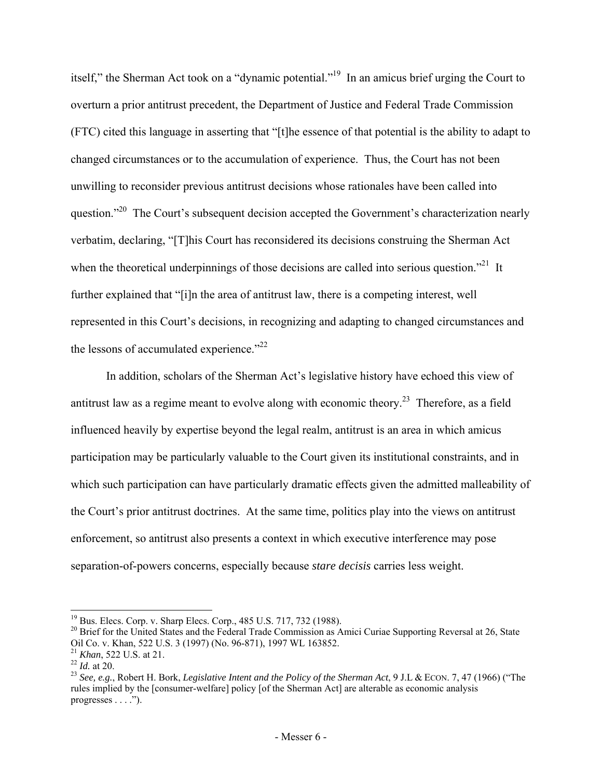itself," the Sherman Act took on a "dynamic potential."19 In an amicus brief urging the Court to overturn a prior antitrust precedent, the Department of Justice and Federal Trade Commission (FTC) cited this language in asserting that "[t]he essence of that potential is the ability to adapt to changed circumstances or to the accumulation of experience. Thus, the Court has not been unwilling to reconsider previous antitrust decisions whose rationales have been called into question."<sup>20</sup> The Court's subsequent decision accepted the Government's characterization nearly verbatim, declaring, "[T]his Court has reconsidered its decisions construing the Sherman Act when the theoretical underpinnings of those decisions are called into serious question.<sup>"21</sup> It further explained that "[i]n the area of antitrust law, there is a competing interest, well represented in this Court's decisions, in recognizing and adapting to changed circumstances and the lessons of accumulated experience."<sup>22</sup>

In addition, scholars of the Sherman Act's legislative history have echoed this view of antitrust law as a regime meant to evolve along with economic theory.<sup>23</sup> Therefore, as a field influenced heavily by expertise beyond the legal realm, antitrust is an area in which amicus participation may be particularly valuable to the Court given its institutional constraints, and in which such participation can have particularly dramatic effects given the admitted malleability of the Court's prior antitrust doctrines. At the same time, politics play into the views on antitrust enforcement, so antitrust also presents a context in which executive interference may pose separation-of-powers concerns, especially because *stare decisis* carries less weight.

<sup>19</sup> Bus. Elecs. Corp. v. Sharp Elecs. Corp., 485 U.S. 717, 732 (1988).

 $^{20}$  Brief for the United States and the Federal Trade Commission as Amici Curiae Supporting Reversal at 26, State Oil Co. v. Khan, 522 U.S. 3 (1997) (No. 96-871), 1997 WL 163852.<br><sup>21</sup> *Khan*, 522 U.S. at 21.

<sup>22</sup> *Id.* at 20.<br><sup>22</sup> *Id.* at 20.<br><sup>23</sup> *See, e.g.*, Robert H. Bork, *Legislative Intent and the Policy of the Sherman Act*, 9 J.L & ECON. 7, 47 (1966) ("The rules implied by the [consumer-welfare] policy [of the Sherman Act] are alterable as economic analysis progresses  $\dots$ .").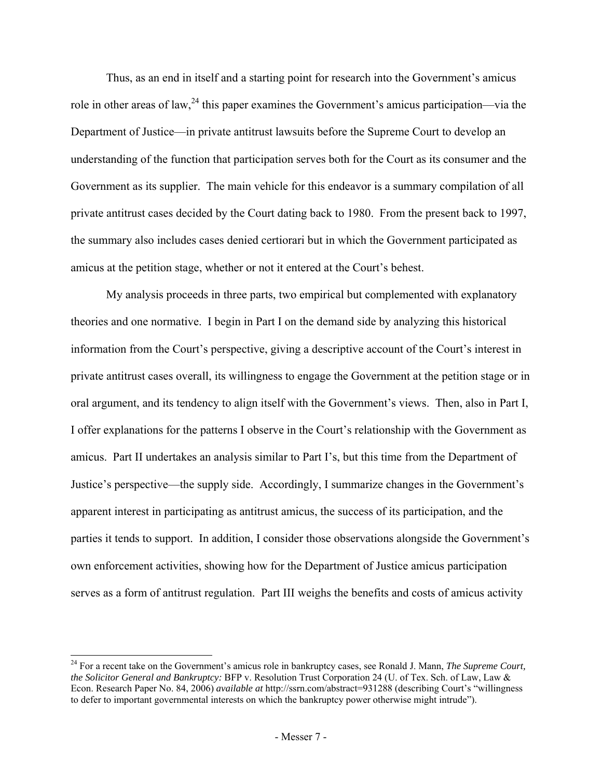Thus, as an end in itself and a starting point for research into the Government's amicus role in other areas of law,  $^{24}$  this paper examines the Government's amicus participation—via the Department of Justice—in private antitrust lawsuits before the Supreme Court to develop an understanding of the function that participation serves both for the Court as its consumer and the Government as its supplier. The main vehicle for this endeavor is a summary compilation of all private antitrust cases decided by the Court dating back to 1980. From the present back to 1997, the summary also includes cases denied certiorari but in which the Government participated as amicus at the petition stage, whether or not it entered at the Court's behest.

My analysis proceeds in three parts, two empirical but complemented with explanatory theories and one normative. I begin in Part I on the demand side by analyzing this historical information from the Court's perspective, giving a descriptive account of the Court's interest in private antitrust cases overall, its willingness to engage the Government at the petition stage or in oral argument, and its tendency to align itself with the Government's views. Then, also in Part I, I offer explanations for the patterns I observe in the Court's relationship with the Government as amicus. Part II undertakes an analysis similar to Part I's, but this time from the Department of Justice's perspective—the supply side. Accordingly, I summarize changes in the Government's apparent interest in participating as antitrust amicus, the success of its participation, and the parties it tends to support. In addition, I consider those observations alongside the Government's own enforcement activities, showing how for the Department of Justice amicus participation serves as a form of antitrust regulation. Part III weighs the benefits and costs of amicus activity

<sup>24</sup> For a recent take on the Government's amicus role in bankruptcy cases, see Ronald J. Mann, *The Supreme Court, the Solicitor General and Bankruptcy:* BFP v. Resolution Trust Corporation 24 (U. of Tex. Sch. of Law, Law & Econ. Research Paper No. 84, 2006) *available at* http://ssrn.com/abstract=931288 (describing Court's "willingness to defer to important governmental interests on which the bankruptcy power otherwise might intrude").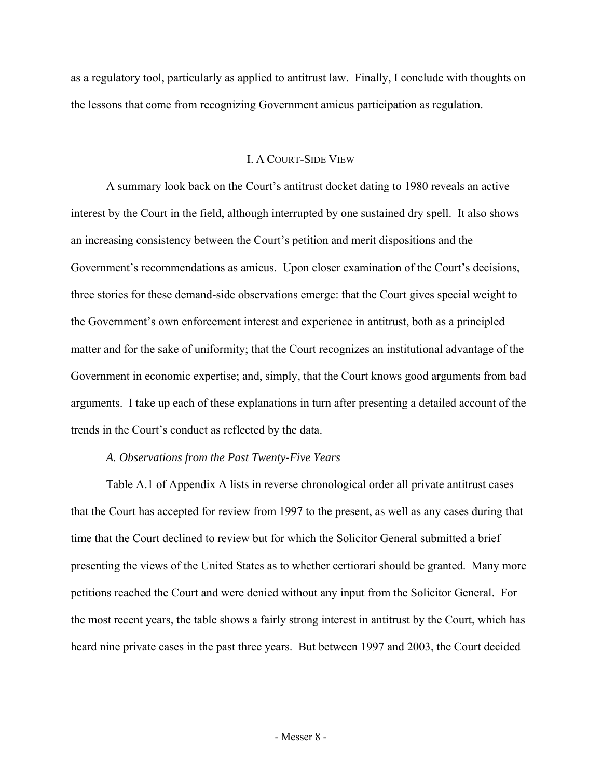as a regulatory tool, particularly as applied to antitrust law. Finally, I conclude with thoughts on the lessons that come from recognizing Government amicus participation as regulation.

#### I. A COURT-SIDE VIEW

 A summary look back on the Court's antitrust docket dating to 1980 reveals an active interest by the Court in the field, although interrupted by one sustained dry spell. It also shows an increasing consistency between the Court's petition and merit dispositions and the Government's recommendations as amicus. Upon closer examination of the Court's decisions, three stories for these demand-side observations emerge: that the Court gives special weight to the Government's own enforcement interest and experience in antitrust, both as a principled matter and for the sake of uniformity; that the Court recognizes an institutional advantage of the Government in economic expertise; and, simply, that the Court knows good arguments from bad arguments. I take up each of these explanations in turn after presenting a detailed account of the trends in the Court's conduct as reflected by the data.

#### *A. Observations from the Past Twenty-Five Years*

 Table A.1 of Appendix A lists in reverse chronological order all private antitrust cases that the Court has accepted for review from 1997 to the present, as well as any cases during that time that the Court declined to review but for which the Solicitor General submitted a brief presenting the views of the United States as to whether certiorari should be granted. Many more petitions reached the Court and were denied without any input from the Solicitor General. For the most recent years, the table shows a fairly strong interest in antitrust by the Court, which has heard nine private cases in the past three years. But between 1997 and 2003, the Court decided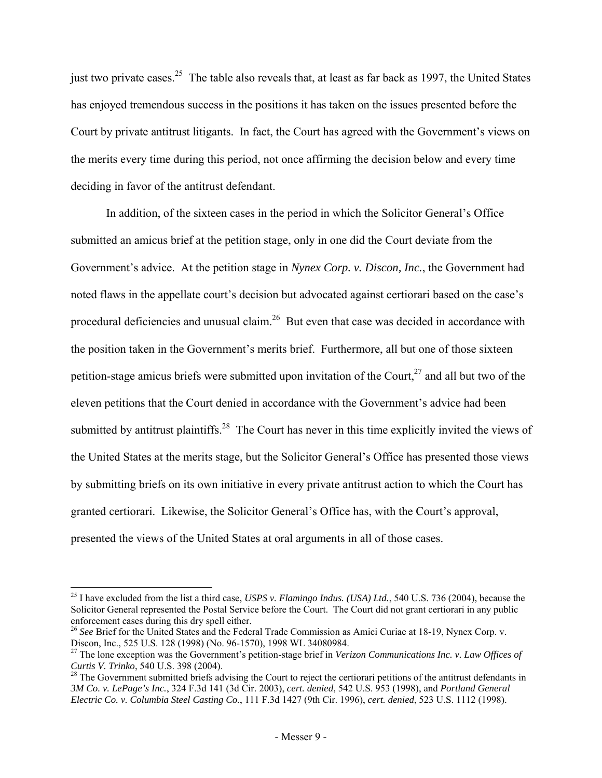just two private cases.<sup>25</sup> The table also reveals that, at least as far back as 1997, the United States has enjoyed tremendous success in the positions it has taken on the issues presented before the Court by private antitrust litigants. In fact, the Court has agreed with the Government's views on the merits every time during this period, not once affirming the decision below and every time deciding in favor of the antitrust defendant.

In addition, of the sixteen cases in the period in which the Solicitor General's Office submitted an amicus brief at the petition stage, only in one did the Court deviate from the Government's advice. At the petition stage in *Nynex Corp. v. Discon, Inc.*, the Government had noted flaws in the appellate court's decision but advocated against certiorari based on the case's procedural deficiencies and unusual claim.<sup>26</sup> But even that case was decided in accordance with the position taken in the Government's merits brief. Furthermore, all but one of those sixteen petition-stage amicus briefs were submitted upon invitation of the Court,  $27$  and all but two of the eleven petitions that the Court denied in accordance with the Government's advice had been submitted by antitrust plaintiffs.<sup>28</sup> The Court has never in this time explicitly invited the views of the United States at the merits stage, but the Solicitor General's Office has presented those views by submitting briefs on its own initiative in every private antitrust action to which the Court has granted certiorari. Likewise, the Solicitor General's Office has, with the Court's approval, presented the views of the United States at oral arguments in all of those cases.

<sup>25</sup> I have excluded from the list a third case, *USPS v. Flamingo Indus. (USA) Ltd.*, 540 U.S. 736 (2004), because the Solicitor General represented the Postal Service before the Court. The Court did not grant certiorari in any public enforcement cases during this dry spell either.

<sup>&</sup>lt;sup>26</sup> See Brief for the United States and the Federal Trade Commission as Amici Curiae at 18-19, Nynex Corp. v. Discon, Inc., 525 U.S. 128 (1998) (No. 96-1570), 1998 WL 34080984.

<sup>&</sup>lt;sup>27</sup> The lone exception was the Government's petition-stage brief in *Verizon Communications Inc. v. Law Offices of Curtis V. Trinko, 540 U.S. 398 (2004).* 

<sup>&</sup>lt;sup>28</sup> The Government submitted briefs advising the Court to reject the certiorari petitions of the antitrust defendants in *3M Co. v. LePage's Inc.*, 324 F.3d 141 (3d Cir. 2003), *cert. denied*, 542 U.S. 953 (1998), and *Portland General Electric Co. v. Columbia Steel Casting Co.*, 111 F.3d 1427 (9th Cir. 1996), *cert. denied*, 523 U.S. 1112 (1998).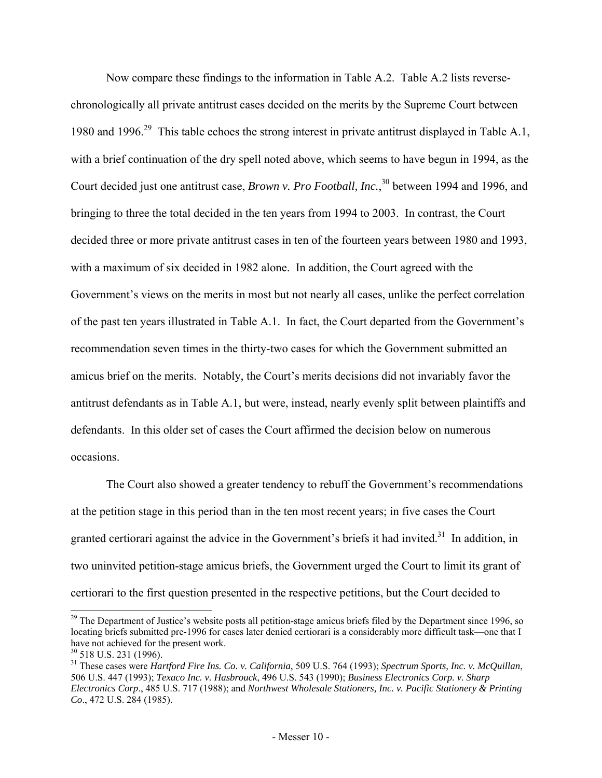Now compare these findings to the information in Table A.2. Table A.2 lists reversechronologically all private antitrust cases decided on the merits by the Supreme Court between 1980 and 1996.<sup>29</sup> This table echoes the strong interest in private antitrust displayed in Table A.1, with a brief continuation of the dry spell noted above, which seems to have begun in 1994, as the Court decided just one antitrust case, *Brown v. Pro Football, Inc.*,<sup>30</sup> between 1994 and 1996, and bringing to three the total decided in the ten years from 1994 to 2003. In contrast, the Court decided three or more private antitrust cases in ten of the fourteen years between 1980 and 1993, with a maximum of six decided in 1982 alone. In addition, the Court agreed with the Government's views on the merits in most but not nearly all cases, unlike the perfect correlation of the past ten years illustrated in Table A.1. In fact, the Court departed from the Government's recommendation seven times in the thirty-two cases for which the Government submitted an amicus brief on the merits. Notably, the Court's merits decisions did not invariably favor the antitrust defendants as in Table A.1, but were, instead, nearly evenly split between plaintiffs and defendants. In this older set of cases the Court affirmed the decision below on numerous occasions.

The Court also showed a greater tendency to rebuff the Government's recommendations at the petition stage in this period than in the ten most recent years; in five cases the Court granted certiorari against the advice in the Government's briefs it had invited.<sup>31</sup> In addition, in two uninvited petition-stage amicus briefs, the Government urged the Court to limit its grant of certiorari to the first question presented in the respective petitions, but the Court decided to

 $^{29}$  The Department of Justice's website posts all petition-stage amicus briefs filed by the Department since 1996, so locating briefs submitted pre-1996 for cases later denied certiorari is a considerably more difficult task—one that I have not achieved for the present work.

 $30$  518 U.S. 231 (1996).

<sup>31</sup> These cases were *Hartford Fire Ins. Co. v. California*, 509 U.S. 764 (1993); *Spectrum Sports, Inc. v. McQuillan*, 506 U.S. 447 (1993); *Texaco Inc. v. Hasbrouck*, 496 U.S. 543 (1990); *Business Electronics Corp. v. Sharp Electronics Corp*., 485 U.S. 717 (1988); and *Northwest Wholesale Stationers, Inc. v. Pacific Stationery & Printing Co*., 472 U.S. 284 (1985).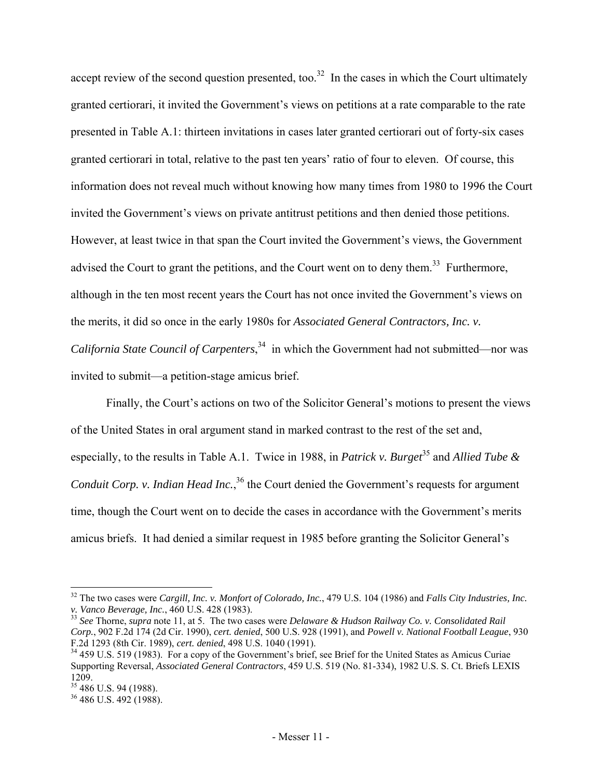accept review of the second question presented, too.<sup>32</sup> In the cases in which the Court ultimately granted certiorari, it invited the Government's views on petitions at a rate comparable to the rate presented in Table A.1: thirteen invitations in cases later granted certiorari out of forty-six cases granted certiorari in total, relative to the past ten years' ratio of four to eleven. Of course, this information does not reveal much without knowing how many times from 1980 to 1996 the Court invited the Government's views on private antitrust petitions and then denied those petitions. However, at least twice in that span the Court invited the Government's views, the Government advised the Court to grant the petitions, and the Court went on to deny them.<sup>33</sup> Furthermore, although in the ten most recent years the Court has not once invited the Government's views on the merits, it did so once in the early 1980s for *Associated General Contractors, Inc. v. California State Council of Carpenters*, 34 in which the Government had not submitted—nor was invited to submit—a petition-stage amicus brief.

Finally, the Court's actions on two of the Solicitor General's motions to present the views of the United States in oral argument stand in marked contrast to the rest of the set and, especially, to the results in Table A.1. Twice in 1988, in *Patrick v. Burget*<sup>35</sup> and *Allied Tube &* Conduit Corp. v. Indian Head Inc.,<sup>36</sup> the Court denied the Government's requests for argument time, though the Court went on to decide the cases in accordance with the Government's merits amicus briefs. It had denied a similar request in 1985 before granting the Solicitor General's

<sup>32</sup> The two cases were *Cargill, Inc. v. Monfort of Colorado, Inc.*, 479 U.S. 104 (1986) and *Falls City Industries, Inc.* 

<sup>&</sup>lt;sup>33</sup> *See* Thorne, *supra* note 11, at 5. The two cases were *Delaware & Hudson Railway Co. v. Consolidated Rail Corp.*, 902 F.2d 174 (2d Cir. 1990), *cert. denied*, 500 U.S. 928 (1991), and *Powell v. National Football League*, 930

<sup>&</sup>lt;sup>34</sup> 459 U.S. 519 (1983). For a copy of the Government's brief, see Brief for the United States as Amicus Curiae Supporting Reversal, *Associated General Contractors*, 459 U.S. 519 (No. 81-334), 1982 U.S. S. Ct. Briefs LEXIS 1209.

<sup>&</sup>lt;sup>35</sup> 486 U.S. 94 (1988).

<sup>36 486</sup> U.S. 492 (1988).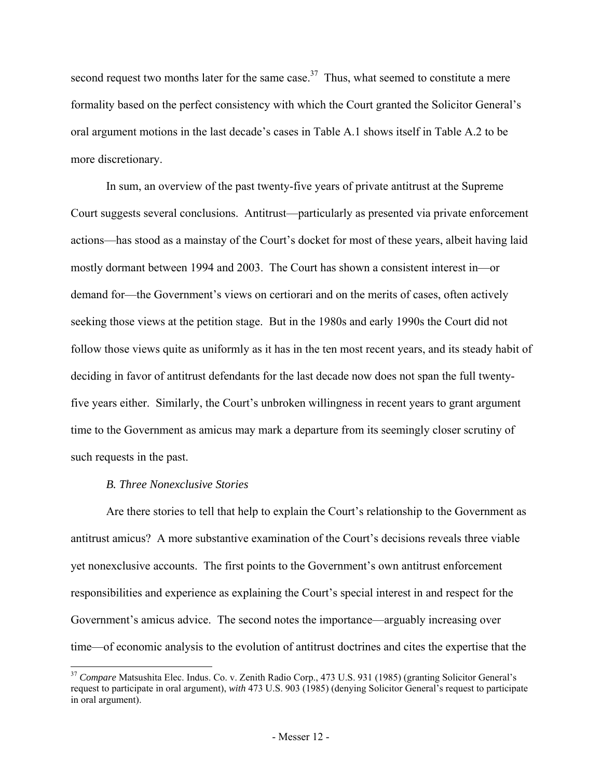second request two months later for the same case.<sup>37</sup> Thus, what seemed to constitute a mere formality based on the perfect consistency with which the Court granted the Solicitor General's oral argument motions in the last decade's cases in Table A.1 shows itself in Table A.2 to be more discretionary.

 In sum, an overview of the past twenty-five years of private antitrust at the Supreme Court suggests several conclusions. Antitrust—particularly as presented via private enforcement actions—has stood as a mainstay of the Court's docket for most of these years, albeit having laid mostly dormant between 1994 and 2003. The Court has shown a consistent interest in—or demand for—the Government's views on certiorari and on the merits of cases, often actively seeking those views at the petition stage. But in the 1980s and early 1990s the Court did not follow those views quite as uniformly as it has in the ten most recent years, and its steady habit of deciding in favor of antitrust defendants for the last decade now does not span the full twentyfive years either. Similarly, the Court's unbroken willingness in recent years to grant argument time to the Government as amicus may mark a departure from its seemingly closer scrutiny of such requests in the past.

#### *B. Three Nonexclusive Stories*

l

 Are there stories to tell that help to explain the Court's relationship to the Government as antitrust amicus? A more substantive examination of the Court's decisions reveals three viable yet nonexclusive accounts. The first points to the Government's own antitrust enforcement responsibilities and experience as explaining the Court's special interest in and respect for the Government's amicus advice. The second notes the importance—arguably increasing over time—of economic analysis to the evolution of antitrust doctrines and cites the expertise that the

<sup>&</sup>lt;sup>37</sup> Compare Matsushita Elec. Indus. Co. v. Zenith Radio Corp., 473 U.S. 931 (1985) (granting Solicitor General's request to participate in oral argument), *with* 473 U.S. 903 (1985) (denying Solicitor General's request to participate in oral argument).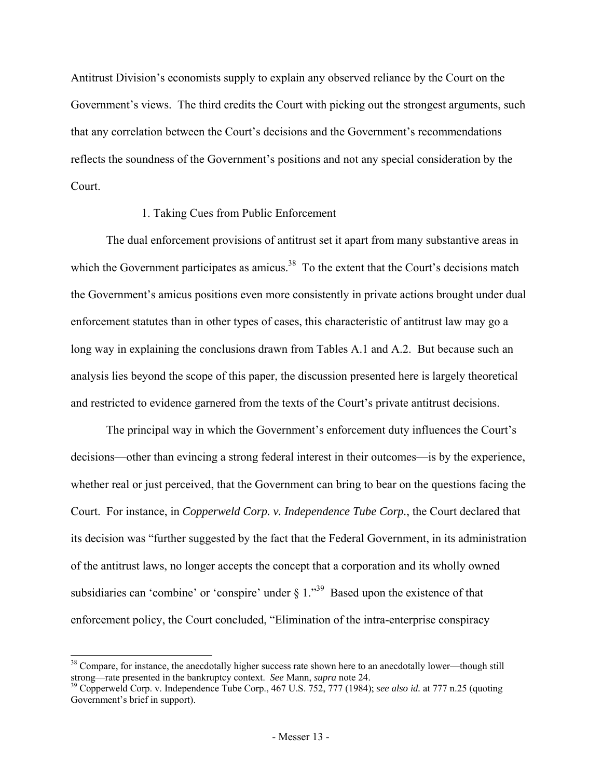Antitrust Division's economists supply to explain any observed reliance by the Court on the Government's views. The third credits the Court with picking out the strongest arguments, such that any correlation between the Court's decisions and the Government's recommendations reflects the soundness of the Government's positions and not any special consideration by the Court.

#### 1. Taking Cues from Public Enforcement

The dual enforcement provisions of antitrust set it apart from many substantive areas in which the Government participates as amicus.<sup>38</sup> To the extent that the Court's decisions match the Government's amicus positions even more consistently in private actions brought under dual enforcement statutes than in other types of cases, this characteristic of antitrust law may go a long way in explaining the conclusions drawn from Tables A.1 and A.2. But because such an analysis lies beyond the scope of this paper, the discussion presented here is largely theoretical and restricted to evidence garnered from the texts of the Court's private antitrust decisions.

The principal way in which the Government's enforcement duty influences the Court's decisions—other than evincing a strong federal interest in their outcomes—is by the experience, whether real or just perceived, that the Government can bring to bear on the questions facing the Court. For instance, in *Copperweld Corp. v. Independence Tube Corp.*, the Court declared that its decision was "further suggested by the fact that the Federal Government, in its administration of the antitrust laws, no longer accepts the concept that a corporation and its wholly owned subsidiaries can 'combine' or 'conspire' under  $\S 1$ ."<sup>39</sup> Based upon the existence of that enforcement policy, the Court concluded, "Elimination of the intra-enterprise conspiracy

<sup>&</sup>lt;sup>38</sup> Compare, for instance, the anecdotally higher success rate shown here to an anecdotally lower—though still

strong—rate presented in the bankruptcy context. *See* Mann, *supra* note 24. 39 Copperweld Corp. v. Independence Tube Corp., 467 U.S. 752, 777 (1984); *see also id.* at 777 n.25 (quoting Government's brief in support).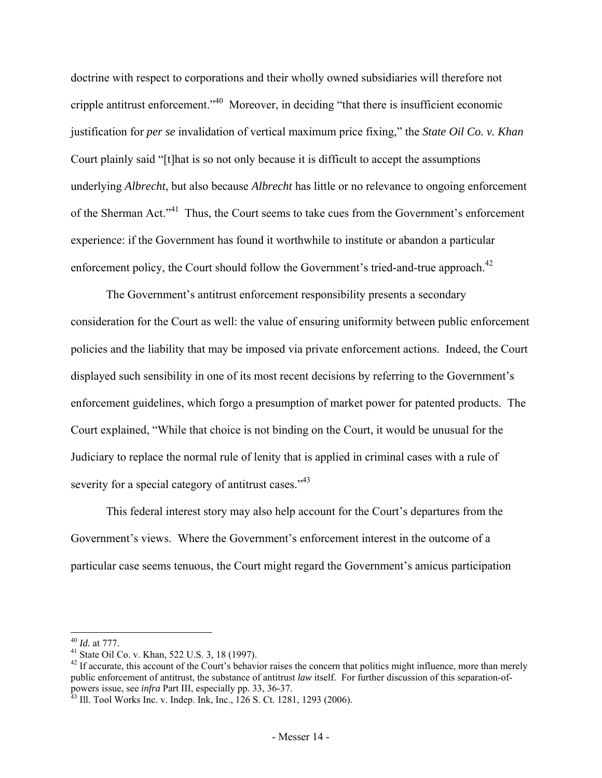doctrine with respect to corporations and their wholly owned subsidiaries will therefore not cripple antitrust enforcement."40 Moreover, in deciding "that there is insufficient economic justification for *per se* invalidation of vertical maximum price fixing," the *State Oil Co. v. Khan* Court plainly said "[t]hat is so not only because it is difficult to accept the assumptions underlying *Albrecht*, but also because *Albrecht* has little or no relevance to ongoing enforcement of the Sherman Act."41 Thus, the Court seems to take cues from the Government's enforcement experience: if the Government has found it worthwhile to institute or abandon a particular enforcement policy, the Court should follow the Government's tried-and-true approach.<sup>42</sup>

The Government's antitrust enforcement responsibility presents a secondary consideration for the Court as well: the value of ensuring uniformity between public enforcement policies and the liability that may be imposed via private enforcement actions. Indeed, the Court displayed such sensibility in one of its most recent decisions by referring to the Government's enforcement guidelines, which forgo a presumption of market power for patented products. The Court explained, "While that choice is not binding on the Court, it would be unusual for the Judiciary to replace the normal rule of lenity that is applied in criminal cases with a rule of severity for a special category of antitrust cases."<sup>43</sup>

This federal interest story may also help account for the Court's departures from the Government's views. Where the Government's enforcement interest in the outcome of a particular case seems tenuous, the Court might regard the Government's amicus participation

<sup>&</sup>lt;sup>40</sup> *Id.* at 777.<br><sup>41</sup> State Oil Co. v. Khan, 522 U.S. 3, 18 (1997).

 $42$  If accurate, this account of the Court's behavior raises the concern that politics might influence, more than merely public enforcement of antitrust, the substance of antitrust *law* itself. For further discussion of this separation-ofpowers issue, see *infra* Part III, especially pp. 33, 36-37.<br><sup>43</sup> Ill. Tool Works Inc. v. Indep. Ink, Inc., 126 S. Ct. 1281, 1293 (2006).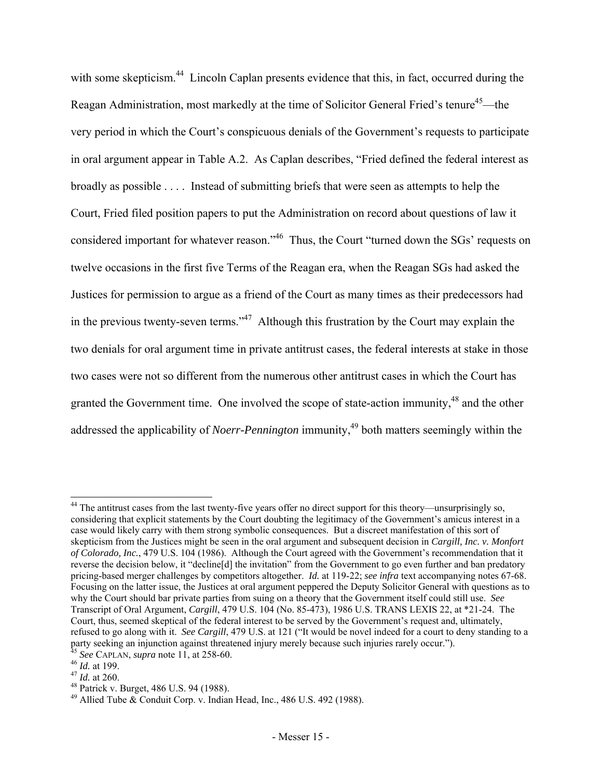with some skepticism.<sup>44</sup> Lincoln Caplan presents evidence that this, in fact, occurred during the Reagan Administration, most markedly at the time of Solicitor General Fried's tenure<sup>45</sup>—the very period in which the Court's conspicuous denials of the Government's requests to participate in oral argument appear in Table A.2. As Caplan describes, "Fried defined the federal interest as broadly as possible . . . . Instead of submitting briefs that were seen as attempts to help the Court, Fried filed position papers to put the Administration on record about questions of law it considered important for whatever reason."<sup>46</sup> Thus, the Court "turned down the SGs' requests on twelve occasions in the first five Terms of the Reagan era, when the Reagan SGs had asked the Justices for permission to argue as a friend of the Court as many times as their predecessors had in the previous twenty-seven terms."<sup>47</sup> Although this frustration by the Court may explain the two denials for oral argument time in private antitrust cases, the federal interests at stake in those two cases were not so different from the numerous other antitrust cases in which the Court has granted the Government time. One involved the scope of state-action immunity,<sup>48</sup> and the other addressed the applicability of *Noerr-Pennington* immunity,<sup>49</sup> both matters seemingly within the

<sup>&</sup>lt;sup>44</sup> The antitrust cases from the last twenty-five years offer no direct support for this theory—unsurprisingly so, considering that explicit statements by the Court doubting the legitimacy of the Government's amicus interest in a case would likely carry with them strong symbolic consequences. But a discreet manifestation of this sort of skepticism from the Justices might be seen in the oral argument and subsequent decision in *Cargill, Inc. v. Monfort of Colorado, Inc.*, 479 U.S. 104 (1986). Although the Court agreed with the Government's recommendation that it reverse the decision below, it "decline[d] the invitation" from the Government to go even further and ban predatory pricing-based merger challenges by competitors altogether. *Id.* at 119-22; *see infra* text accompanying notes 67-68. Focusing on the latter issue, the Justices at oral argument peppered the Deputy Solicitor General with questions as to why the Court should bar private parties from suing on a theory that the Government itself could still use. *See* Transcript of Oral Argument, *Cargill*, 479 U.S. 104 (No. 85-473), 1986 U.S. TRANS LEXIS 22, at \*21-24. The Court, thus, seemed skeptical of the federal interest to be served by the Government's request and, ultimately, refused to go along with it. *See Cargill*, 479 U.S. at 121 ("It would be novel indeed for a court to deny standing to a party seeking an injunction against threatened injury merely because such injuries rarely occur.").<br>
<sup>45</sup> See CAPLAN, *supra* note 11, at 258-60.<br>
<sup>46</sup> Id. at 199.<br>
<sup>47</sup> Id. at 260.<br>
<sup>48</sup> Patrick v. Burget, 486 U.S. 94 (1

<sup>&</sup>lt;sup>49</sup> Allied Tube  $\&$  Conduit Corp. v. Indian Head, Inc., 486 U.S. 492 (1988).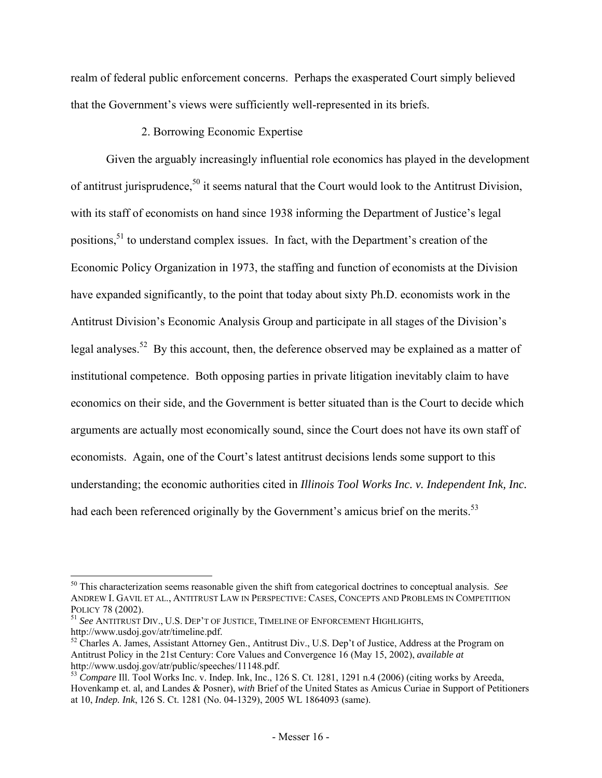realm of federal public enforcement concerns. Perhaps the exasperated Court simply believed that the Government's views were sufficiently well-represented in its briefs.

# 2. Borrowing Economic Expertise

Given the arguably increasingly influential role economics has played in the development of antitrust jurisprudence,<sup>50</sup> it seems natural that the Court would look to the Antitrust Division, with its staff of economists on hand since 1938 informing the Department of Justice's legal positions,<sup>51</sup> to understand complex issues. In fact, with the Department's creation of the Economic Policy Organization in 1973, the staffing and function of economists at the Division have expanded significantly, to the point that today about sixty Ph.D. economists work in the Antitrust Division's Economic Analysis Group and participate in all stages of the Division's legal analyses.<sup>52</sup> By this account, then, the deference observed may be explained as a matter of institutional competence. Both opposing parties in private litigation inevitably claim to have economics on their side, and the Government is better situated than is the Court to decide which arguments are actually most economically sound, since the Court does not have its own staff of economists. Again, one of the Court's latest antitrust decisions lends some support to this understanding; the economic authorities cited in *Illinois Tool Works Inc. v. Independent Ink, Inc.* had each been referenced originally by the Government's amicus brief on the merits.<sup>53</sup>

<sup>50</sup> This characterization seems reasonable given the shift from categorical doctrines to conceptual analysis. *See* ANDREW I. GAVIL ET AL., ANTITRUST LAW IN PERSPECTIVE: CASES, CONCEPTS AND PROBLEMS IN COMPETITION

POLICY 78 (2002).<br><sup>51</sup> *See* ANTITRUST DIV., U.S. DEP'T OF JUSTICE, TIMELINE OF ENFORCEMENT HIGHLIGHTS,<br>http://www.usdoj.gov/atr/timeline.pdf.

 $52$  Charles A. James, Assistant Attorney Gen., Antitrust Div., U.S. Dep't of Justice, Address at the Program on Antitrust Policy in the 21st Century: Core Values and Convergence 16 (May 15, 2002), *available at*

<sup>&</sup>lt;sup>53</sup> *Compare Ill.* Tool Works Inc. v. Indep. Ink, Inc., 126 S. Ct. 1281, 1291 n.4 (2006) (citing works by Areeda, Hovenkamp et. al, and Landes & Posner), *with* Brief of the United States as Amicus Curiae in Support of Petitioners at 10, *Indep. Ink*, 126 S. Ct. 1281 (No. 04-1329), 2005 WL 1864093 (same).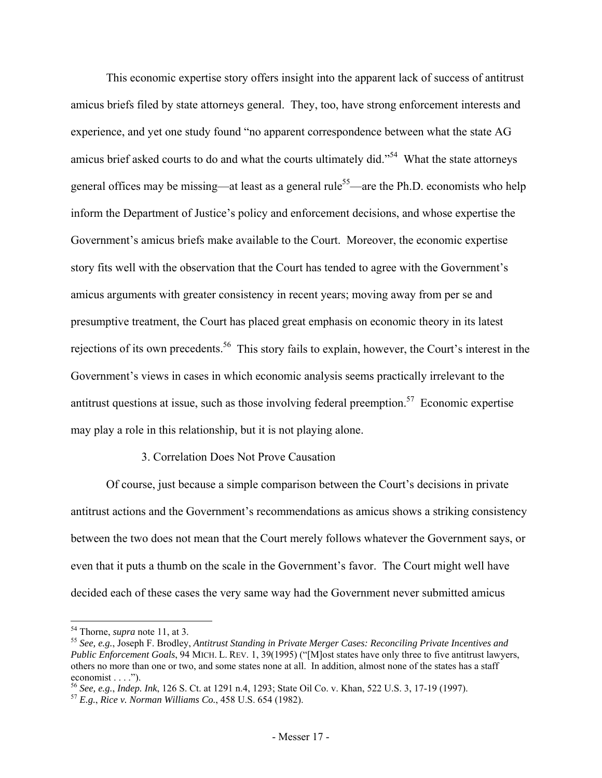This economic expertise story offers insight into the apparent lack of success of antitrust amicus briefs filed by state attorneys general. They, too, have strong enforcement interests and experience, and yet one study found "no apparent correspondence between what the state AG amicus brief asked courts to do and what the courts ultimately did."<sup>54</sup> What the state attorneys general offices may be missing—at least as a general rule<sup>55</sup>—are the Ph.D. economists who help inform the Department of Justice's policy and enforcement decisions, and whose expertise the Government's amicus briefs make available to the Court. Moreover, the economic expertise story fits well with the observation that the Court has tended to agree with the Government's amicus arguments with greater consistency in recent years; moving away from per se and presumptive treatment, the Court has placed great emphasis on economic theory in its latest rejections of its own precedents.<sup>56</sup> This story fails to explain, however, the Court's interest in the Government's views in cases in which economic analysis seems practically irrelevant to the antitrust questions at issue, such as those involving federal preemption.<sup>57</sup> Economic expertise may play a role in this relationship, but it is not playing alone.

#### 3. Correlation Does Not Prove Causation

Of course, just because a simple comparison between the Court's decisions in private antitrust actions and the Government's recommendations as amicus shows a striking consistency between the two does not mean that the Court merely follows whatever the Government says, or even that it puts a thumb on the scale in the Government's favor. The Court might well have decided each of these cases the very same way had the Government never submitted amicus

<sup>54</sup> Thorne, *supra* note 11, at 3. 55 *See, e.g.*, Joseph F. Brodley, *Antitrust Standing in Private Merger Cases: Reconciling Private Incentives and Public Enforcement Goals*, 94 MICH. L. REV. 1, 39(1995) ("[M]ost states have only three to five antitrust lawyers, others no more than one or two, and some states none at all. In addition, almost none of the states has a staff economist . . . .").

<sup>56</sup> *See, e.g.*, *Indep. Ink*, 126 S. Ct. at 1291 n.4, 1293; State Oil Co. v. Khan, 522 U.S. 3, 17-19 (1997). 57 *E.g.*, *Rice v. Norman Williams Co.*, 458 U.S. 654 (1982).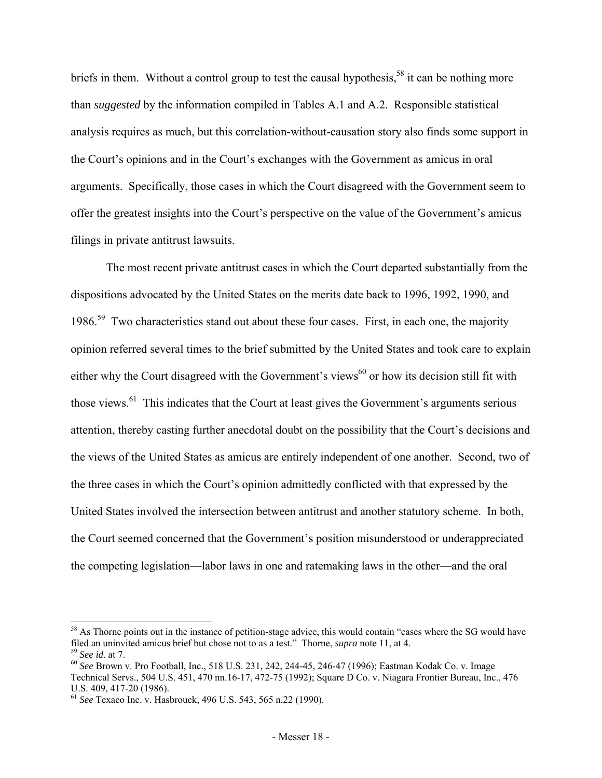briefs in them. Without a control group to test the causal hypothesis,<sup>58</sup> it can be nothing more than *suggested* by the information compiled in Tables A.1 and A.2. Responsible statistical analysis requires as much, but this correlation-without-causation story also finds some support in the Court's opinions and in the Court's exchanges with the Government as amicus in oral arguments. Specifically, those cases in which the Court disagreed with the Government seem to offer the greatest insights into the Court's perspective on the value of the Government's amicus filings in private antitrust lawsuits.

 The most recent private antitrust cases in which the Court departed substantially from the dispositions advocated by the United States on the merits date back to 1996, 1992, 1990, and 1986.<sup>59</sup> Two characteristics stand out about these four cases. First, in each one, the majority opinion referred several times to the brief submitted by the United States and took care to explain either why the Court disagreed with the Government's views<sup>60</sup> or how its decision still fit with those views.<sup>61</sup> This indicates that the Court at least gives the Government's arguments serious attention, thereby casting further anecdotal doubt on the possibility that the Court's decisions and the views of the United States as amicus are entirely independent of one another. Second, two of the three cases in which the Court's opinion admittedly conflicted with that expressed by the United States involved the intersection between antitrust and another statutory scheme. In both, the Court seemed concerned that the Government's position misunderstood or underappreciated the competing legislation—labor laws in one and ratemaking laws in the other—and the oral

<sup>&</sup>lt;sup>58</sup> As Thorne points out in the instance of petition-stage advice, this would contain "cases where the SG would have filed an uninvited amicus brief but chose not to as a test." Thorne, *supra* note 11, at 4.<br><sup>59</sup> See id. at 7.<br><sup>60</sup> See Brown v. Pro Football, Inc., 518 U.S. 231, 242, 244-45, 246-47 (1996); Eastman Kodak Co. v. Image

Technical Servs., 504 U.S. 451, 470 nn.16-17, 472-75 (1992); Square D Co. v. Niagara Frontier Bureau, Inc., 476 U.S. 409, 417-20 (1986).

<sup>61</sup> *See* Texaco Inc. v. Hasbrouck, 496 U.S. 543, 565 n.22 (1990).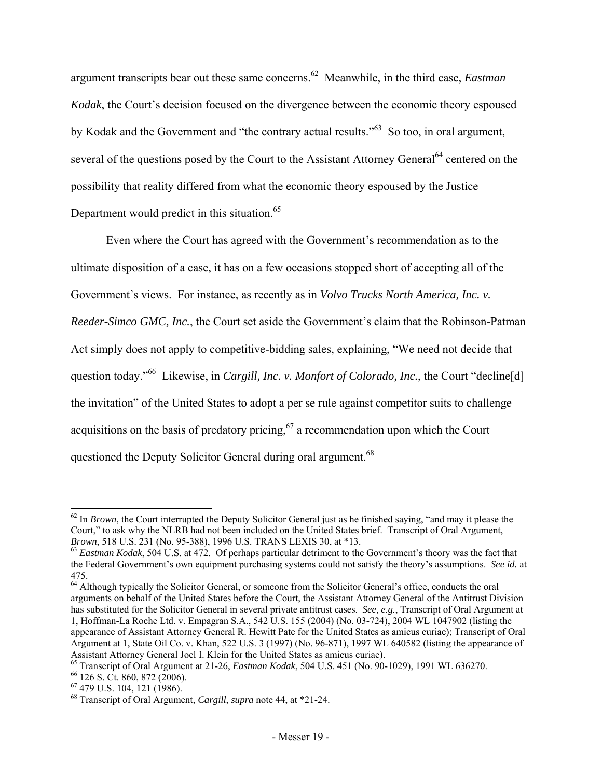argument transcripts bear out these same concerns.62 Meanwhile, in the third case, *Eastman Kodak*, the Court's decision focused on the divergence between the economic theory espoused by Kodak and the Government and "the contrary actual results."<sup>63</sup> So too, in oral argument, several of the questions posed by the Court to the Assistant Attorney General<sup>64</sup> centered on the possibility that reality differed from what the economic theory espoused by the Justice Department would predict in this situation.<sup>65</sup>

 Even where the Court has agreed with the Government's recommendation as to the ultimate disposition of a case, it has on a few occasions stopped short of accepting all of the Government's views. For instance, as recently as in *Volvo Trucks North America, Inc. v. Reeder-Simco GMC, Inc.*, the Court set aside the Government's claim that the Robinson-Patman Act simply does not apply to competitive-bidding sales, explaining, "We need not decide that question today."<sup>66</sup> Likewise, in *Cargill, Inc. v. Monfort of Colorado, Inc.*, the Court "decline[d] the invitation" of the United States to adopt a per se rule against competitor suits to challenge acquisitions on the basis of predatory pricing,  $67$  a recommendation upon which the Court questioned the Deputy Solicitor General during oral argument.<sup>68</sup>

 $62$  In *Brown*, the Court interrupted the Deputy Solicitor General just as he finished saying, "and may it please the Court," to ask why the NLRB had not been included on the United States brief. Transcript of Oral Argument, *Brown*, 518 U.S. 231 (No. 95-388), 1996 U.S. TRANS LEXIS 30, at \*13.<br><sup>63</sup> *Eastman Kodak*, 504 U.S. at 472. Of perhaps particular detriment to the Government's theory was the fact that

the Federal Government's own equipment purchasing systems could not satisfy the theory's assumptions. *See id.* at 475.

<sup>&</sup>lt;sup>64</sup> Although typically the Solicitor General, or someone from the Solicitor General's office, conducts the oral arguments on behalf of the United States before the Court, the Assistant Attorney General of the Antitrust Division has substituted for the Solicitor General in several private antitrust cases. *See, e.g.*, Transcript of Oral Argument at 1, Hoffman-La Roche Ltd. v. Empagran S.A., 542 U.S. 155 (2004) (No. 03-724), 2004 WL 1047902 (listing the appearance of Assistant Attorney General R. Hewitt Pate for the United States as amicus curiae); Transcript of Oral Argument at 1, State Oil Co. v. Khan, 522 U.S. 3 (1997) (No. 96-871), 1997 WL 640582 (listing the appearance of Assistant Attorney General Joel I. Klein for the United States as amicus curiae).

<sup>&</sup>lt;sup>65</sup> Transcript of Oral Argument at 21-26, *Eastman Kodak*, 504 U.S. 451 (No. 90-1029), 1991 WL 636270.<br><sup>66</sup> 126 S. Ct. 860, 872 (2006).

<sup>67 479</sup> U.S. 104, 121 (1986).

<sup>68</sup> Transcript of Oral Argument, *Cargill*, *supra* note 44, at \*21-24.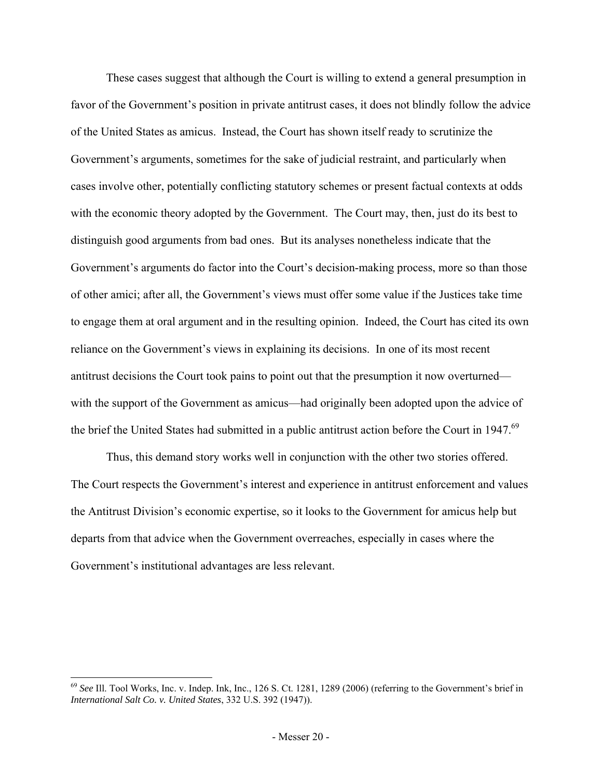These cases suggest that although the Court is willing to extend a general presumption in favor of the Government's position in private antitrust cases, it does not blindly follow the advice of the United States as amicus. Instead, the Court has shown itself ready to scrutinize the Government's arguments, sometimes for the sake of judicial restraint, and particularly when cases involve other, potentially conflicting statutory schemes or present factual contexts at odds with the economic theory adopted by the Government. The Court may, then, just do its best to distinguish good arguments from bad ones. But its analyses nonetheless indicate that the Government's arguments do factor into the Court's decision-making process, more so than those of other amici; after all, the Government's views must offer some value if the Justices take time to engage them at oral argument and in the resulting opinion. Indeed, the Court has cited its own reliance on the Government's views in explaining its decisions. In one of its most recent antitrust decisions the Court took pains to point out that the presumption it now overturned with the support of the Government as amicus—had originally been adopted upon the advice of the brief the United States had submitted in a public antitrust action before the Court in 1947.<sup>69</sup>

Thus, this demand story works well in conjunction with the other two stories offered. The Court respects the Government's interest and experience in antitrust enforcement and values the Antitrust Division's economic expertise, so it looks to the Government for amicus help but departs from that advice when the Government overreaches, especially in cases where the Government's institutional advantages are less relevant.

<sup>69</sup> *See* Ill. Tool Works, Inc. v. Indep. Ink, Inc., 126 S. Ct. 1281, 1289 (2006) (referring to the Government's brief in *International Salt Co. v. United States*, 332 U.S. 392 (1947)).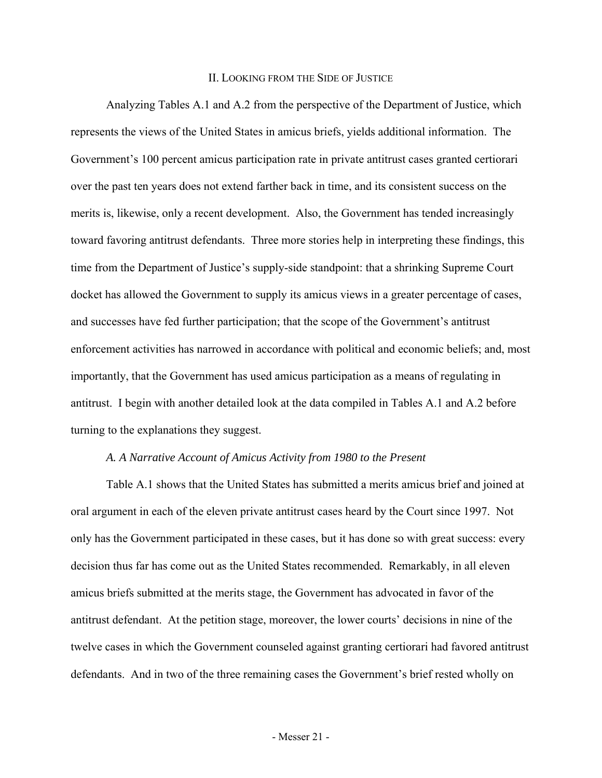#### II. LOOKING FROM THE SIDE OF JUSTICE

 Analyzing Tables A.1 and A.2 from the perspective of the Department of Justice, which represents the views of the United States in amicus briefs, yields additional information. The Government's 100 percent amicus participation rate in private antitrust cases granted certiorari over the past ten years does not extend farther back in time, and its consistent success on the merits is, likewise, only a recent development. Also, the Government has tended increasingly toward favoring antitrust defendants. Three more stories help in interpreting these findings, this time from the Department of Justice's supply-side standpoint: that a shrinking Supreme Court docket has allowed the Government to supply its amicus views in a greater percentage of cases, and successes have fed further participation; that the scope of the Government's antitrust enforcement activities has narrowed in accordance with political and economic beliefs; and, most importantly, that the Government has used amicus participation as a means of regulating in antitrust. I begin with another detailed look at the data compiled in Tables A.1 and A.2 before turning to the explanations they suggest.

#### *A. A Narrative Account of Amicus Activity from 1980 to the Present*

 Table A.1 shows that the United States has submitted a merits amicus brief and joined at oral argument in each of the eleven private antitrust cases heard by the Court since 1997. Not only has the Government participated in these cases, but it has done so with great success: every decision thus far has come out as the United States recommended. Remarkably, in all eleven amicus briefs submitted at the merits stage, the Government has advocated in favor of the antitrust defendant. At the petition stage, moreover, the lower courts' decisions in nine of the twelve cases in which the Government counseled against granting certiorari had favored antitrust defendants. And in two of the three remaining cases the Government's brief rested wholly on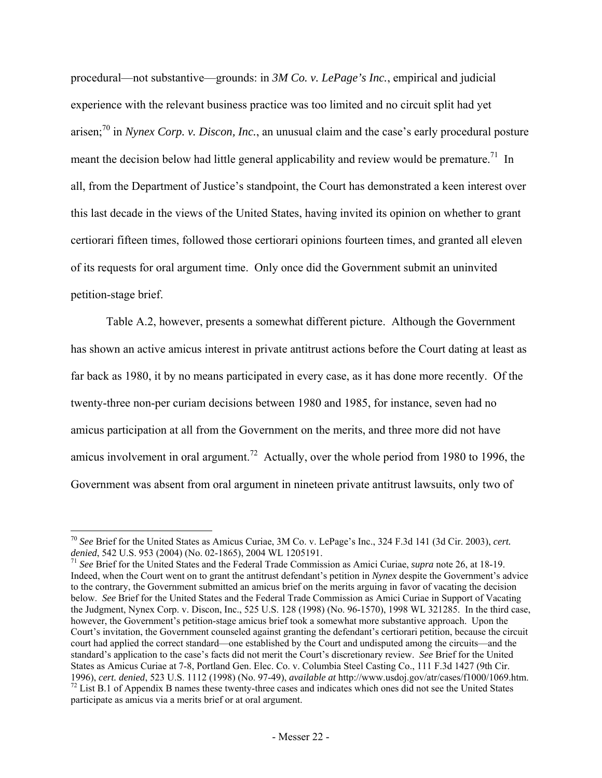procedural—not substantive—grounds: in *3M Co. v. LePage's Inc.*, empirical and judicial experience with the relevant business practice was too limited and no circuit split had yet arisen;70 in *Nynex Corp. v. Discon, Inc.*, an unusual claim and the case's early procedural posture meant the decision below had little general applicability and review would be premature.<sup>71</sup> In all, from the Department of Justice's standpoint, the Court has demonstrated a keen interest over this last decade in the views of the United States, having invited its opinion on whether to grant certiorari fifteen times, followed those certiorari opinions fourteen times, and granted all eleven of its requests for oral argument time. Only once did the Government submit an uninvited petition-stage brief.

 Table A.2, however, presents a somewhat different picture. Although the Government has shown an active amicus interest in private antitrust actions before the Court dating at least as far back as 1980, it by no means participated in every case, as it has done more recently. Of the twenty-three non-per curiam decisions between 1980 and 1985, for instance, seven had no amicus participation at all from the Government on the merits, and three more did not have amicus involvement in oral argument.<sup>72</sup> Actually, over the whole period from 1980 to 1996, the Government was absent from oral argument in nineteen private antitrust lawsuits, only two of

<sup>70</sup> *See* Brief for the United States as Amicus Curiae, 3M Co. v. LePage's Inc., 324 F.3d 141 (3d Cir. 2003), *cert. denied*, 542 U.S. 953 (2004) (No. 02-1865), 2004 WL 1205191.<br><sup>71</sup> *See* Brief for the United States and the Federal Trade Commission as Amici Curiae, *supra* note 26, at 18-19.

Indeed, when the Court went on to grant the antitrust defendant's petition in *Nynex* despite the Government's advice to the contrary, the Government submitted an amicus brief on the merits arguing in favor of vacating the decision below. *See* Brief for the United States and the Federal Trade Commission as Amici Curiae in Support of Vacating the Judgment, Nynex Corp. v. Discon, Inc., 525 U.S. 128 (1998) (No. 96-1570), 1998 WL 321285. In the third case, however, the Government's petition-stage amicus brief took a somewhat more substantive approach. Upon the Court's invitation, the Government counseled against granting the defendant's certiorari petition, because the circuit court had applied the correct standard—one established by the Court and undisputed among the circuits—and the standard's application to the case's facts did not merit the Court's discretionary review. *See* Brief for the United States as Amicus Curiae at 7-8, Portland Gen. Elec. Co. v. Columbia Steel Casting Co., 111 F.3d 1427 (9th Cir. 1996), cert. denied, 523 U.S. 1112 (1998) (No. 97-49), available at http://www.usdoj.gov/atr/cases/f1000/1069.htm.<br><sup>72</sup> List B.1 of Appendix B names these twenty-three cases and indicates which ones did not see the United participate as amicus via a merits brief or at oral argument.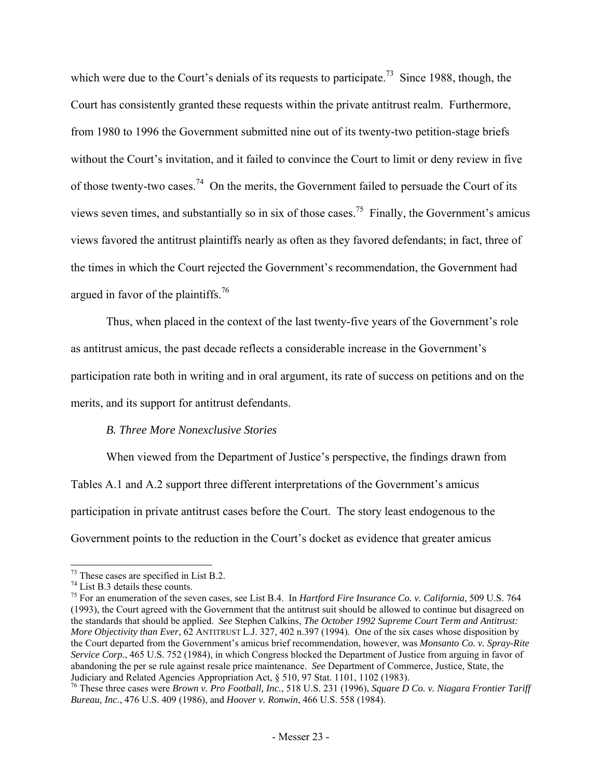which were due to the Court's denials of its requests to participate.<sup>73</sup> Since 1988, though, the Court has consistently granted these requests within the private antitrust realm. Furthermore, from 1980 to 1996 the Government submitted nine out of its twenty-two petition-stage briefs without the Court's invitation, and it failed to convince the Court to limit or deny review in five of those twenty-two cases.<sup>74</sup> On the merits, the Government failed to persuade the Court of its views seven times, and substantially so in six of those cases.75 Finally, the Government's amicus views favored the antitrust plaintiffs nearly as often as they favored defendants; in fact, three of the times in which the Court rejected the Government's recommendation, the Government had argued in favor of the plaintiffs.<sup>76</sup>

 Thus, when placed in the context of the last twenty-five years of the Government's role as antitrust amicus, the past decade reflects a considerable increase in the Government's participation rate both in writing and in oral argument, its rate of success on petitions and on the merits, and its support for antitrust defendants.

# *B. Three More Nonexclusive Stories*

When viewed from the Department of Justice's perspective, the findings drawn from Tables A.1 and A.2 support three different interpretations of the Government's amicus participation in private antitrust cases before the Court. The story least endogenous to the Government points to the reduction in the Court's docket as evidence that greater amicus

 $73$  These cases are specified in List B.2.

<sup>74</sup> List B.3 details these counts.

<sup>75</sup> For an enumeration of the seven cases, see List B.4. In *Hartford Fire Insurance Co. v. California*, 509 U.S. 764 (1993), the Court agreed with the Government that the antitrust suit should be allowed to continue but disagreed on the standards that should be applied. *See* Stephen Calkins, *The October 1992 Supreme Court Term and Antitrust: More Objectivity than Ever*, 62 ANTITRUST L.J. 327, 402 n.397 (1994). One of the six cases whose disposition by the Court departed from the Government's amicus brief recommendation, however, was *Monsanto Co. v. Spray-Rite Service Corp.*, 465 U.S. 752 (1984), in which Congress blocked the Department of Justice from arguing in favor of abandoning the per se rule against resale price maintenance. *See* Department of Commerce, Justice, State, the Judiciary and Related Agencies Appropriation Act, § 510, 97 Stat. 1101, 1102 (1983).

<sup>76</sup> These three cases were *Brown v. Pro Football, Inc.*, 518 U.S. 231 (1996), *Square D Co. v. Niagara Frontier Tariff Bureau, Inc.*, 476 U.S. 409 (1986), and *Hoover v. Ronwin*, 466 U.S. 558 (1984).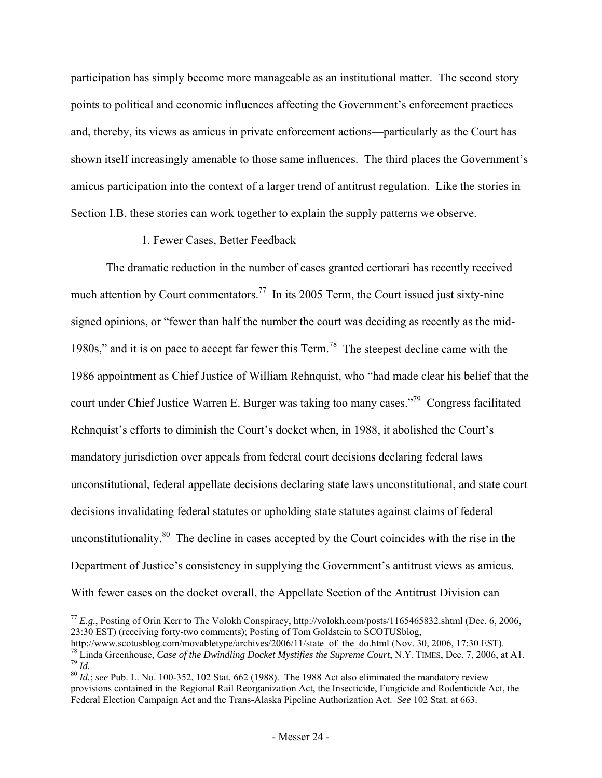participation has simply become more manageable as an institutional matter. The second story points to political and economic influences affecting the Government's enforcement practices and, thereby, its views as amicus in private enforcement actions—particularly as the Court has shown itself increasingly amenable to those same influences. The third places the Government's amicus participation into the context of a larger trend of antitrust regulation. Like the stories in Section I.B, these stories can work together to explain the supply patterns we observe.

## 1. Fewer Cases, Better Feedback

l

The dramatic reduction in the number of cases granted certiorari has recently received much attention by Court commentators.<sup>77</sup> In its 2005 Term, the Court issued just sixty-nine signed opinions, or "fewer than half the number the court was deciding as recently as the mid-1980s," and it is on pace to accept far fewer this Term.<sup>78</sup> The steepest decline came with the 1986 appointment as Chief Justice of William Rehnquist, who "had made clear his belief that the court under Chief Justice Warren E. Burger was taking too many cases."79 Congress facilitated Rehnquist's efforts to diminish the Court's docket when, in 1988, it abolished the Court's mandatory jurisdiction over appeals from federal court decisions declaring federal laws unconstitutional, federal appellate decisions declaring state laws unconstitutional, and state court decisions invalidating federal statutes or upholding state statutes against claims of federal unconstitutionality. $80$  The decline in cases accepted by the Court coincides with the rise in the Department of Justice's consistency in supplying the Government's antitrust views as amicus. With fewer cases on the docket overall, the Appellate Section of the Antitrust Division can

<sup>77</sup> *E.g.*, Posting of Orin Kerr to The Volokh Conspiracy, http://volokh.com/posts/1165465832.shtml (Dec. 6, 2006, 23:30 EST) (receiving forty-two comments); Posting of Tom Goldstein to SCOTUSblog,<br>http://www.scotusblog.com/movabletype/archives/2006/11/state of the do.html (Nov. 30, 2006, 17:30 EST).

<sup>&</sup>lt;sup>78</sup> Linda Greenhouse, *Case of the Dwindling Docket Mystifies the Supreme Court*, N.Y. TIMES, Dec. 7, 2006, at A1.<br><sup>79</sup> Id.<br><sup>80</sup> Id.; see Pub. L. No. 100-352, 102 Stat. 662 (1988). The 1988 Act also eliminated the mandat

provisions contained in the Regional Rail Reorganization Act, the Insecticide, Fungicide and Rodenticide Act, the Federal Election Campaign Act and the Trans-Alaska Pipeline Authorization Act. *See* 102 Stat. at 663.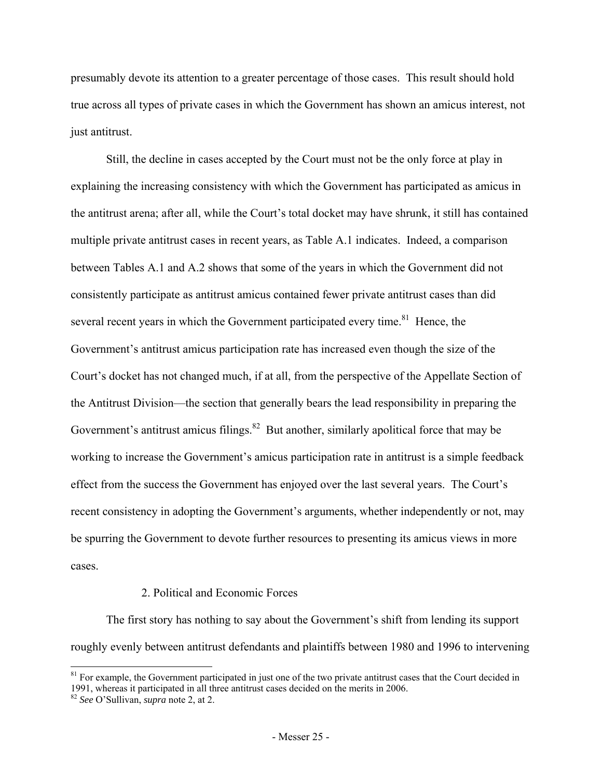presumably devote its attention to a greater percentage of those cases. This result should hold true across all types of private cases in which the Government has shown an amicus interest, not just antitrust.

Still, the decline in cases accepted by the Court must not be the only force at play in explaining the increasing consistency with which the Government has participated as amicus in the antitrust arena; after all, while the Court's total docket may have shrunk, it still has contained multiple private antitrust cases in recent years, as Table A.1 indicates. Indeed, a comparison between Tables A.1 and A.2 shows that some of the years in which the Government did not consistently participate as antitrust amicus contained fewer private antitrust cases than did several recent years in which the Government participated every time.<sup>81</sup> Hence, the Government's antitrust amicus participation rate has increased even though the size of the Court's docket has not changed much, if at all, from the perspective of the Appellate Section of the Antitrust Division—the section that generally bears the lead responsibility in preparing the Government's antitrust amicus filings. $82$  But another, similarly apolitical force that may be working to increase the Government's amicus participation rate in antitrust is a simple feedback effect from the success the Government has enjoyed over the last several years. The Court's recent consistency in adopting the Government's arguments, whether independently or not, may be spurring the Government to devote further resources to presenting its amicus views in more cases.

## 2. Political and Economic Forces

The first story has nothing to say about the Government's shift from lending its support roughly evenly between antitrust defendants and plaintiffs between 1980 and 1996 to intervening

 $81$  For example, the Government participated in just one of the two private antitrust cases that the Court decided in 1991, whereas it participated in all three antitrust cases decided on the merits in 2006. 82 *See* O'Sullivan, *supra* note 2, at 2.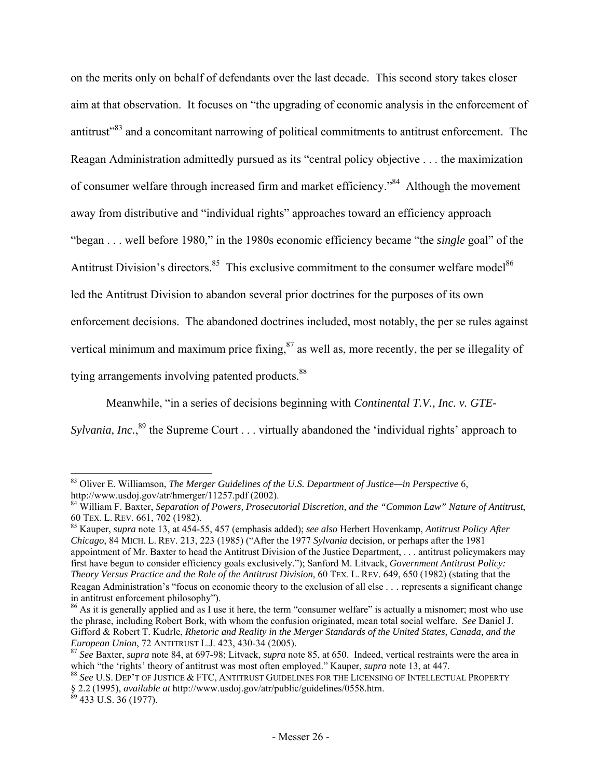on the merits only on behalf of defendants over the last decade. This second story takes closer aim at that observation. It focuses on "the upgrading of economic analysis in the enforcement of antitrust"83 and a concomitant narrowing of political commitments to antitrust enforcement. The Reagan Administration admittedly pursued as its "central policy objective . . . the maximization of consumer welfare through increased firm and market efficiency."<sup>84</sup> Although the movement away from distributive and "individual rights" approaches toward an efficiency approach "began . . . well before 1980," in the 1980s economic efficiency became "the *single* goal" of the Antitrust Division's directors.<sup>85</sup> This exclusive commitment to the consumer welfare model<sup>86</sup> led the Antitrust Division to abandon several prior doctrines for the purposes of its own enforcement decisions. The abandoned doctrines included, most notably, the per se rules against vertical minimum and maximum price fixing, $^{87}$  as well as, more recently, the per se illegality of tying arrangements involving patented products.<sup>88</sup>

Meanwhile, "in a series of decisions beginning with *Continental T.V., Inc. v. GTE-*Sylvania, Inc.,<sup>89</sup> the Supreme Court . . . virtually abandoned the 'individual rights' approach to

l 83 Oliver E. Williamson, *The Merger Guidelines of the U.S. Department of Justice—in Perspective* 6, http://www.usdoj.gov/atr/hmerger/11257.pdf (2002). 84 William F. Baxter, *Separation of Powers, Prosecutorial Discretion, and the "Common Law" Nature of Antitrust*,

<sup>60</sup> TEX. L. REV. 661, 702 (1982). 85 Kauper, *supra* note 13, at 454-55, 457 (emphasis added); *see also* Herbert Hovenkamp, *Antitrust Policy After* 

*Chicago*, 84 MICH. L. REV. 213, 223 (1985) ("After the 1977 *Sylvania* decision, or perhaps after the 1981 appointment of Mr. Baxter to head the Antitrust Division of the Justice Department, . . . antitrust policymakers may first have begun to consider efficiency goals exclusively."); Sanford M. Litvack, *Government Antitrust Policy: Theory Versus Practice and the Role of the Antitrust Division*, 60 TEX. L. REV. 649, 650 (1982) (stating that the Reagan Administration's "focus on economic theory to the exclusion of all else . . . represents a significant change in antitrust enforcement philosophy").

<sup>&</sup>lt;sup>86</sup> As it is generally applied and as I use it here, the term "consumer welfare" is actually a misnomer; most who use the phrase, including Robert Bork, with whom the confusion originated, mean total social welfare. *See* Daniel J. Gifford & Robert T. Kudrle, *Rhetoric and Reality in the Merger Standards of the United States, Canada, and the* 

*European Union*, 72 ANTITRUST L.J. 423, 430-34 (2005).<br><sup>87</sup> *See* Baxter, *supra* note 84, at 697-98; Litvack, *supra* note 85, at 650. Indeed, vertical restraints were the area in which "the 'rights' theory of antitrust

 $^{88}$  See U.S. Dep't of Justice & FTC, Antitrust Guidelines for the Licensing of Intellectual Property § 2.2 (1995), *available at* http://www.usdoj.gov/atr/public/guidelines/0558.htm. 89 433 U.S. 36 (1977).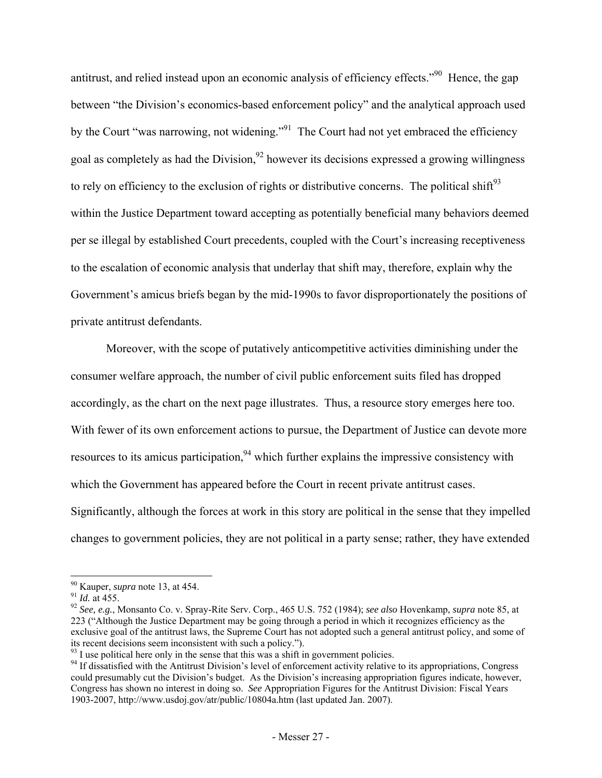antitrust, and relied instead upon an economic analysis of efficiency effects."90 Hence, the gap between "the Division's economics-based enforcement policy" and the analytical approach used by the Court "was narrowing, not widening."<sup>91</sup> The Court had not yet embraced the efficiency goal as completely as had the Division,  $92$  however its decisions expressed a growing willingness to rely on efficiency to the exclusion of rights or distributive concerns. The political shift $^{93}$ within the Justice Department toward accepting as potentially beneficial many behaviors deemed per se illegal by established Court precedents, coupled with the Court's increasing receptiveness to the escalation of economic analysis that underlay that shift may, therefore, explain why the Government's amicus briefs began by the mid-1990s to favor disproportionately the positions of private antitrust defendants.

Moreover, with the scope of putatively anticompetitive activities diminishing under the consumer welfare approach, the number of civil public enforcement suits filed has dropped accordingly, as the chart on the next page illustrates. Thus, a resource story emerges here too. With fewer of its own enforcement actions to pursue, the Department of Justice can devote more resources to its amicus participation,  $94$  which further explains the impressive consistency with which the Government has appeared before the Court in recent private antitrust cases. Significantly, although the forces at work in this story are political in the sense that they impelled changes to government policies, they are not political in a party sense; rather, they have extended

 $\frac{90}{10}$  Kauper, *supra* note 13, at 454.

<sup>90</sup> Kauper, *supra* note 13, at 454. 91 *Id.* at 455. 92 *See, e.g.*, Monsanto Co. v. Spray-Rite Serv. Corp., 465 U.S. 752 (1984); *see also* Hovenkamp, *supra* note 85, at 223 ("Although the Justice Department may be going through a period in which it recognizes efficiency as the exclusive goal of the antitrust laws, the Supreme Court has not adopted such a general antitrust policy, and some of its recent decisions seem inconsistent with such a policy."). <sup>93</sup> I use political here only in the sense that this was a shift in government policies.

<sup>&</sup>lt;sup>94</sup> If dissatisfied with the Antitrust Division's level of enforcement activity relative to its appropriations, Congress could presumably cut the Division's budget. As the Division's increasing appropriation figures indicate, however, Congress has shown no interest in doing so. *See* Appropriation Figures for the Antitrust Division: Fiscal Years 1903-2007, http://www.usdoj.gov/atr/public/10804a.htm (last updated Jan. 2007).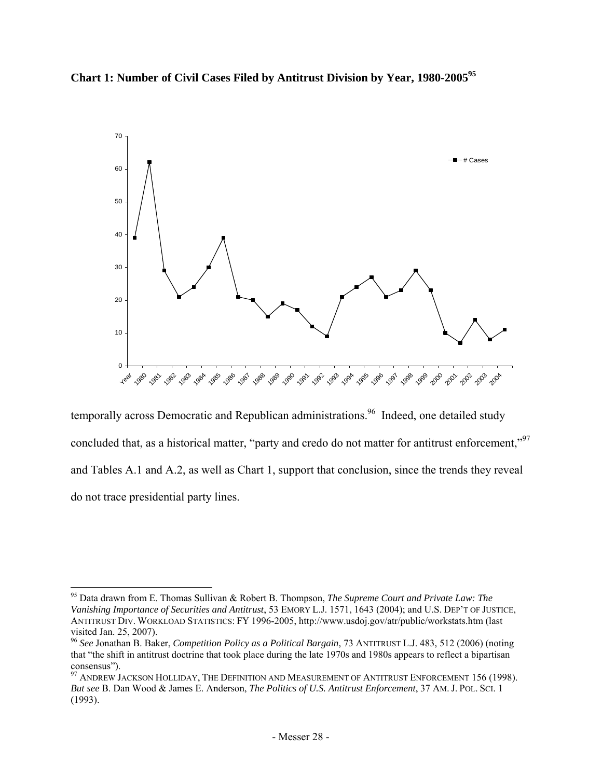



temporally across Democratic and Republican administrations.<sup>96</sup> Indeed, one detailed study concluded that, as a historical matter, "party and credo do not matter for antitrust enforcement,"<sup>97</sup> and Tables A.1 and A.2, as well as Chart 1, support that conclusion, since the trends they reveal do not trace presidential party lines.

<sup>95</sup> Data drawn from E. Thomas Sullivan & Robert B. Thompson, *The Supreme Court and Private Law: The Vanishing Importance of Securities and Antitrust*, 53 EMORY L.J. 1571, 1643 (2004); and U.S. DEP'T OF JUSTICE, ANTITRUST DIV. WORKLOAD STATISTICS: FY 1996-2005, http://www.usdoj.gov/atr/public/workstats.htm (last visited Jan. 25, 2007).

<sup>96</sup> *See* Jonathan B. Baker, *Competition Policy as a Political Bargain*, 73 ANTITRUST L.J. 483, 512 (2006) (noting that "the shift in antitrust doctrine that took place during the late 1970s and 1980s appears to reflect a bipartisan consensus").

 $97$  ANDREW JACKSON HOLLIDAY, THE DEFINITION AND MEASUREMENT OF ANTITRUST ENFORCEMENT 156 (1998). *But see* B. Dan Wood & James E. Anderson, *The Politics of U.S. Antitrust Enforcement*, 37 AM. J. POL. SCI. 1 (1993).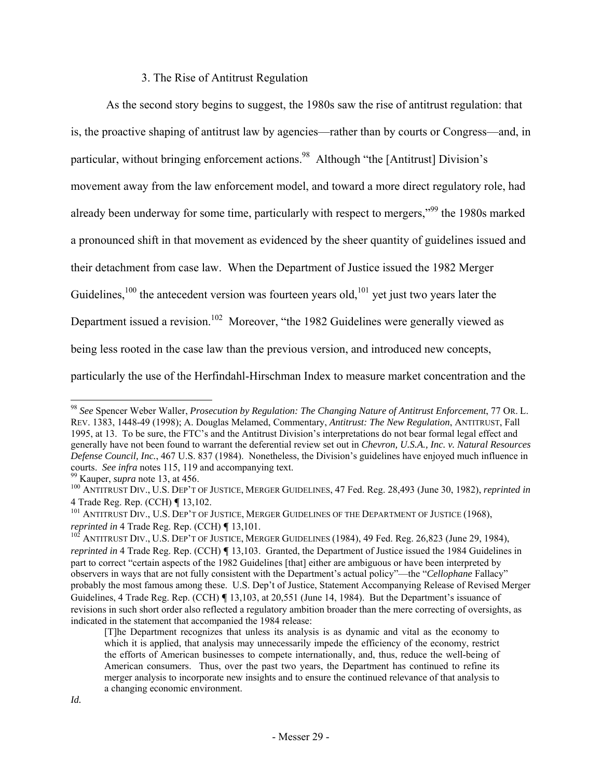## 3. The Rise of Antitrust Regulation

As the second story begins to suggest, the 1980s saw the rise of antitrust regulation: that is, the proactive shaping of antitrust law by agencies—rather than by courts or Congress—and, in particular, without bringing enforcement actions.<sup>98</sup> Although "the [Antitrust] Division's movement away from the law enforcement model, and toward a more direct regulatory role, had already been underway for some time, particularly with respect to mergers,"99 the 1980s marked a pronounced shift in that movement as evidenced by the sheer quantity of guidelines issued and their detachment from case law. When the Department of Justice issued the 1982 Merger Guidelines,<sup>100</sup> the antecedent version was fourteen years old,<sup>101</sup> yet just two years later the Department issued a revision.<sup>102</sup> Moreover, "the 1982 Guidelines were generally viewed as being less rooted in the case law than the previous version, and introduced new concepts, particularly the use of the Herfindahl-Hirschman Index to measure market concentration and the

<sup>98</sup> *See* Spencer Weber Waller, *Prosecution by Regulation: The Changing Nature of Antitrust Enforcement*, 77 OR. L. REV. 1383, 1448-49 (1998); A. Douglas Melamed, Commentary, *Antitrust: The New Regulation*, ANTITRUST, Fall 1995, at 13. To be sure, the FTC's and the Antitrust Division's interpretations do not bear formal legal effect and generally have not been found to warrant the deferential review set out in *Chevron, U.S.A., Inc. v. Natural Resources Defense Council, Inc.*, 467 U.S. 837 (1984). Nonetheless, the Division's guidelines have enjoyed much influence in

<sup>&</sup>lt;sup>99</sup> Kauper, *supra* note 13, at 456.<br><sup>100</sup> ANTITRUST DIV., U.S. DEP'T OF JUSTICE, MERGER GUIDELINES, 47 Fed. Reg. 28,493 (June 30, 1982), *reprinted in*<br>4 Trade Reg. Rep. (CCH) ¶ 13,102.

<sup>&</sup>lt;sup>101</sup> ANTITRUST DIV., U.S. DEP'T OF JUSTICE, MERGER GUIDELINES OF THE DEPARTMENT OF JUSTICE (1968), *reprinted in* 4 Trade Reg. Rep. (CCH)  $\P$  13,101.

<sup>&</sup>lt;sup>102</sup> ANTITRUST DIV., U.S. DEP'T OF JUSTICE, MERGER GUIDELINES (1984), 49 Fed. Reg. 26,823 (June 29, 1984), *reprinted in* 4 Trade Reg. Rep. (CCH) **[13,103.** Granted, the Department of Justice issued the 1984 Guidelines in part to correct "certain aspects of the 1982 Guidelines [that] either are ambiguous or have been interpreted by observers in ways that are not fully consistent with the Department's actual policy"—the "*Cellophane* Fallacy" probably the most famous among these. U.S. Dep't of Justice, Statement Accompanying Release of Revised Merger Guidelines, 4 Trade Reg. Rep. (CCH) ¶ 13,103, at 20,551 (June 14, 1984). But the Department's issuance of revisions in such short order also reflected a regulatory ambition broader than the mere correcting of oversights, as indicated in the statement that accompanied the 1984 release:

<sup>[</sup>T]he Department recognizes that unless its analysis is as dynamic and vital as the economy to which it is applied, that analysis may unnecessarily impede the efficiency of the economy, restrict the efforts of American businesses to compete internationally, and, thus, reduce the well-being of American consumers. Thus, over the past two years, the Department has continued to refine its merger analysis to incorporate new insights and to ensure the continued relevance of that analysis to a changing economic environment.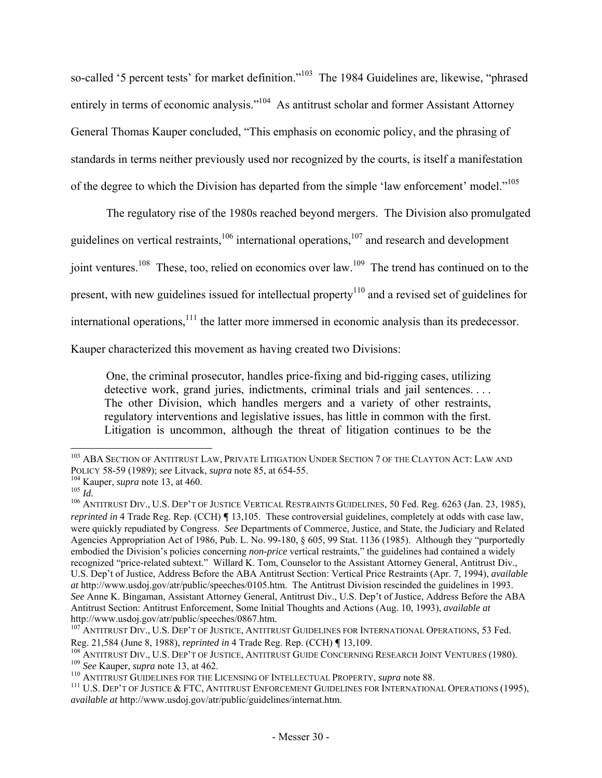so-called '5 percent tests' for market definition."<sup>103</sup> The 1984 Guidelines are, likewise, "phrased entirely in terms of economic analysis."<sup>104</sup> As antitrust scholar and former Assistant Attorney General Thomas Kauper concluded, "This emphasis on economic policy, and the phrasing of standards in terms neither previously used nor recognized by the courts, is itself a manifestation of the degree to which the Division has departed from the simple 'law enforcement' model."<sup>105</sup>

The regulatory rise of the 1980s reached beyond mergers. The Division also promulgated guidelines on vertical restraints,  $106$  international operations,  $107$  and research and development joint ventures.<sup>108</sup> These, too, relied on economics over law.<sup>109</sup> The trend has continued on to the present, with new guidelines issued for intellectual property<sup>110</sup> and a revised set of guidelines for international operations,<sup>111</sup> the latter more immersed in economic analysis than its predecessor.

Kauper characterized this movement as having created two Divisions:

One, the criminal prosecutor, handles price-fixing and bid-rigging cases, utilizing detective work, grand juries, indictments, criminal trials and jail sentences. . . . The other Division, which handles mergers and a variety of other restraints, regulatory interventions and legislative issues, has little in common with the first. Litigation is uncommon, although the threat of litigation continues to be the

<sup>&</sup>lt;sup>103</sup> ABA SECTION OF ANTITRUST LAW, PRIVATE LITIGATION UNDER SECTION 7 OF THE CLAYTON ACT: LAW AND POLICY 58-59 (1989); see Litvack, *supra* note 85, at 654-55.<br><sup>104</sup> Kauper, *supra* note 13, at 460.<br><sup>105</sup> *Id.*<br><sup>106</sup> ANTITRUST DIV., U.S. DEP'T OF JUSTICE VERTICAL RESTRAINTS GUIDELINES, 50 Fed. Reg. 6263 (Jan. 23, 1985)

*reprinted in* 4 Trade Reg. Rep. (CCH) **[13,105.** These controversial guidelines, completely at odds with case law, were quickly repudiated by Congress. *See* Departments of Commerce, Justice, and State, the Judiciary and Related Agencies Appropriation Act of 1986, Pub. L. No. 99-180, § 605, 99 Stat. 1136 (1985). Although they "purportedly embodied the Division's policies concerning *non-price* vertical restraints," the guidelines had contained a widely recognized "price-related subtext." Willard K. Tom, Counselor to the Assistant Attorney General, Antitrust Div., U.S. Dep't of Justice, Address Before the ABA Antitrust Section: Vertical Price Restraints (Apr. 7, 1994), *available at* http://www.usdoj.gov/atr/public/speeches/0105.htm. The Antitrust Division rescinded the guidelines in 1993. *See* Anne K. Bingaman, Assistant Attorney General, Antitrust Div., U.S. Dep't of Justice, Address Before the ABA Antitrust Section: Antitrust Enforcement, Some Initial Thoughts and Actions (Aug. 10, 1993), *available at*

<sup>&</sup>lt;sup>107</sup> ANTITRUST DIV., U.S. DEP'T OF JUSTICE, ANTITRUST GUIDELINES FOR INTERNATIONAL OPERATIONS, 53 Fed.

Reg. 21,584 (June 8, 1988), *reprinted in* 4 Trade Reg. Rep. (CCH) ¶ 13,109.<br><sup>108</sup> ANTITRUST DIV., U.S. DEP'T OF JUSTICE, ANTITRUST GUIDE CONCERNING RESEARCH JOINT VENTURES (1980).<br><sup>109</sup> *See* Kauper, *supra* note 13, at 4

*available at* http://www.usdoj.gov/atr/public/guidelines/internat.htm.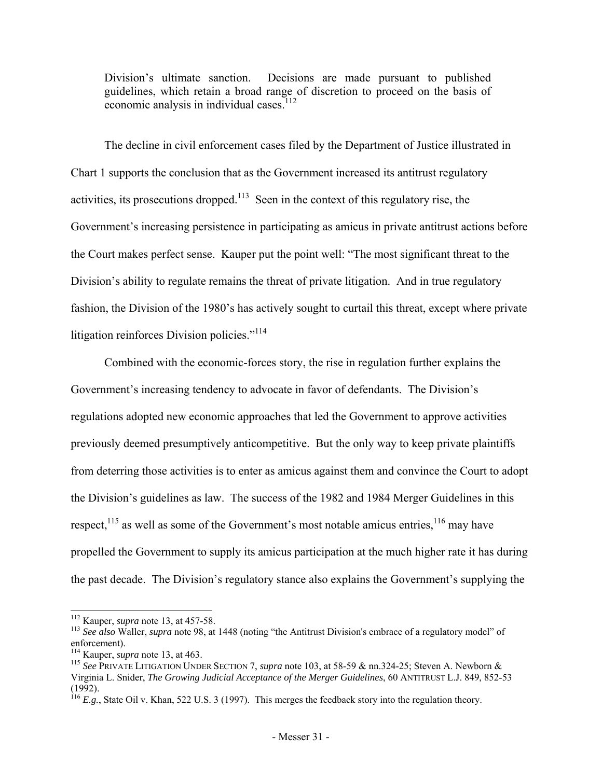Division's ultimate sanction. Decisions are made pursuant to published guidelines, which retain a broad range of discretion to proceed on the basis of economic analysis in individual cases.<sup>112</sup>

The decline in civil enforcement cases filed by the Department of Justice illustrated in Chart 1 supports the conclusion that as the Government increased its antitrust regulatory activities, its prosecutions dropped.<sup>113</sup> Seen in the context of this regulatory rise, the Government's increasing persistence in participating as amicus in private antitrust actions before the Court makes perfect sense. Kauper put the point well: "The most significant threat to the Division's ability to regulate remains the threat of private litigation. And in true regulatory fashion, the Division of the 1980's has actively sought to curtail this threat, except where private litigation reinforces Division policies."<sup>114</sup>

Combined with the economic-forces story, the rise in regulation further explains the Government's increasing tendency to advocate in favor of defendants. The Division's regulations adopted new economic approaches that led the Government to approve activities previously deemed presumptively anticompetitive. But the only way to keep private plaintiffs from deterring those activities is to enter as amicus against them and convince the Court to adopt the Division's guidelines as law. The success of the 1982 and 1984 Merger Guidelines in this respect, $^{115}$  as well as some of the Government's most notable amicus entries,  $^{116}$  may have propelled the Government to supply its amicus participation at the much higher rate it has during the past decade. The Division's regulatory stance also explains the Government's supplying the

<sup>&</sup>lt;sup>112</sup> Kauper, *supra* note 13, at 457-58.<br><sup>113</sup> *See also* Waller, *supra* note 98, at 1448 (noting "the Antitrust Division's embrace of a regulatory model" of enforcement).<br><sup>114</sup> Kauper, *supra* note 13, at 463.

<sup>&</sup>lt;sup>115</sup> See PRIVATE LITIGATION UNDER SECTION 7, *supra* note 103, at 58-59 & nn.324-25; Steven A. Newborn & Virginia L. Snider, *The Growing Judicial Acceptance of the Merger Guidelines*, 60 ANTITRUST L.J. 849, 852-53 (1992).

 $116$  *E.g.*, State Oil v. Khan, 522 U.S. 3 (1997). This merges the feedback story into the regulation theory.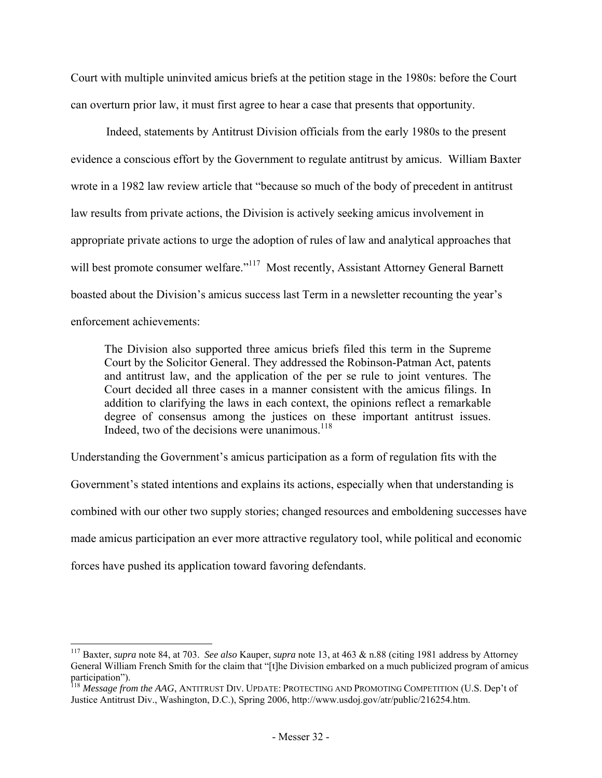Court with multiple uninvited amicus briefs at the petition stage in the 1980s: before the Court can overturn prior law, it must first agree to hear a case that presents that opportunity.

 Indeed, statements by Antitrust Division officials from the early 1980s to the present evidence a conscious effort by the Government to regulate antitrust by amicus. William Baxter wrote in a 1982 law review article that "because so much of the body of precedent in antitrust law results from private actions, the Division is actively seeking amicus involvement in appropriate private actions to urge the adoption of rules of law and analytical approaches that will best promote consumer welfare."<sup>117</sup> Most recently, Assistant Attorney General Barnett boasted about the Division's amicus success last Term in a newsletter recounting the year's enforcement achievements:

The Division also supported three amicus briefs filed this term in the Supreme Court by the Solicitor General. They addressed the Robinson-Patman Act, patents and antitrust law, and the application of the per se rule to joint ventures. The Court decided all three cases in a manner consistent with the amicus filings. In addition to clarifying the laws in each context, the opinions reflect a remarkable degree of consensus among the justices on these important antitrust issues. Indeed, two of the decisions were unanimous.<sup>118</sup>

Understanding the Government's amicus participation as a form of regulation fits with the Government's stated intentions and explains its actions, especially when that understanding is combined with our other two supply stories; changed resources and emboldening successes have made amicus participation an ever more attractive regulatory tool, while political and economic forces have pushed its application toward favoring defendants.

<sup>117</sup> Baxter, *supra* note 84, at 703. *See also* Kauper, *supra* note 13, at 463 & n.88 (citing 1981 address by Attorney General William French Smith for the claim that "[t]he Division embarked on a much publicized program of amicus participation").

<sup>&</sup>lt;sup>118</sup> Message from the AAG, ANTITRUST DIV. UPDATE: PROTECTING AND PROMOTING COMPETITION (U.S. Dep't of Justice Antitrust Div., Washington, D.C.), Spring 2006, http://www.usdoj.gov/atr/public/216254.htm.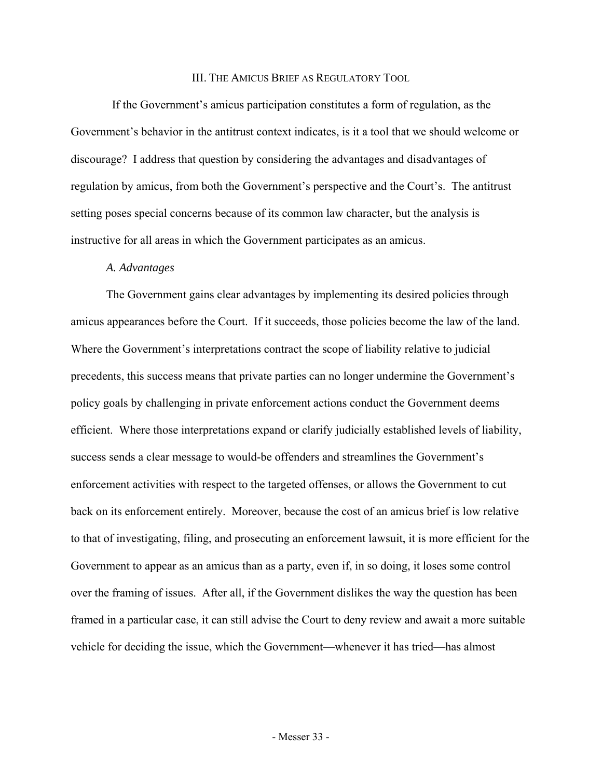#### III. THE AMICUS BRIEF AS REGULATORY TOOL

 If the Government's amicus participation constitutes a form of regulation, as the Government's behavior in the antitrust context indicates, is it a tool that we should welcome or discourage? I address that question by considering the advantages and disadvantages of regulation by amicus, from both the Government's perspective and the Court's. The antitrust setting poses special concerns because of its common law character, but the analysis is instructive for all areas in which the Government participates as an amicus.

#### *A. Advantages*

 The Government gains clear advantages by implementing its desired policies through amicus appearances before the Court. If it succeeds, those policies become the law of the land. Where the Government's interpretations contract the scope of liability relative to judicial precedents, this success means that private parties can no longer undermine the Government's policy goals by challenging in private enforcement actions conduct the Government deems efficient. Where those interpretations expand or clarify judicially established levels of liability, success sends a clear message to would-be offenders and streamlines the Government's enforcement activities with respect to the targeted offenses, or allows the Government to cut back on its enforcement entirely. Moreover, because the cost of an amicus brief is low relative to that of investigating, filing, and prosecuting an enforcement lawsuit, it is more efficient for the Government to appear as an amicus than as a party, even if, in so doing, it loses some control over the framing of issues. After all, if the Government dislikes the way the question has been framed in a particular case, it can still advise the Court to deny review and await a more suitable vehicle for deciding the issue, which the Government—whenever it has tried—has almost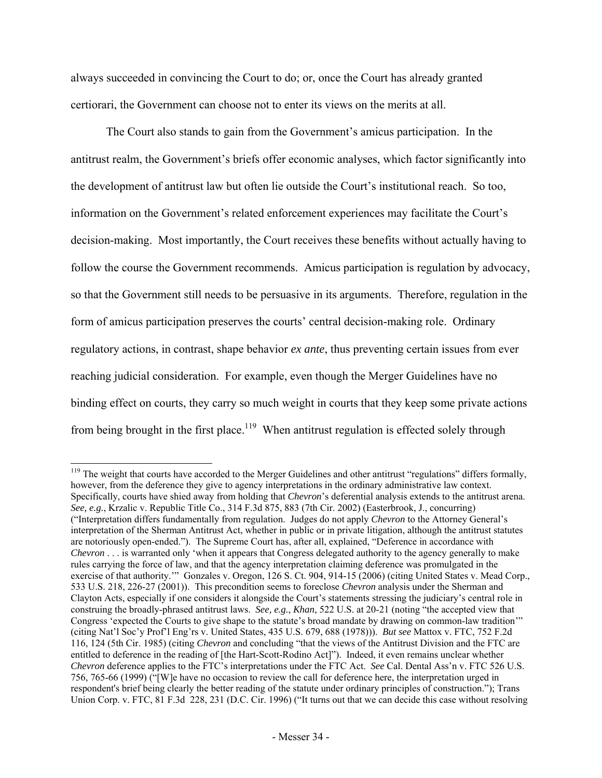always succeeded in convincing the Court to do; or, once the Court has already granted certiorari, the Government can choose not to enter its views on the merits at all.

 The Court also stands to gain from the Government's amicus participation. In the antitrust realm, the Government's briefs offer economic analyses, which factor significantly into the development of antitrust law but often lie outside the Court's institutional reach. So too, information on the Government's related enforcement experiences may facilitate the Court's decision-making. Most importantly, the Court receives these benefits without actually having to follow the course the Government recommends. Amicus participation is regulation by advocacy, so that the Government still needs to be persuasive in its arguments. Therefore, regulation in the form of amicus participation preserves the courts' central decision-making role. Ordinary regulatory actions, in contrast, shape behavior *ex ante*, thus preventing certain issues from ever reaching judicial consideration. For example, even though the Merger Guidelines have no binding effect on courts, they carry so much weight in courts that they keep some private actions from being brought in the first place.<sup>119</sup> When antitrust regulation is effected solely through

<sup>&</sup>lt;sup>119</sup> The weight that courts have accorded to the Merger Guidelines and other antitrust "regulations" differs formally, however, from the deference they give to agency interpretations in the ordinary administrative law context. Specifically, courts have shied away from holding that *Chevron*'s deferential analysis extends to the antitrust arena. *See, e.g.*, Krzalic v. Republic Title Co., 314 F.3d 875, 883 (7th Cir. 2002) (Easterbrook, J., concurring) ("Interpretation differs fundamentally from regulation. Judges do not apply *Chevron* to the Attorney General's interpretation of the Sherman Antitrust Act, whether in public or in private litigation, although the antitrust statutes are notoriously open-ended."). The Supreme Court has, after all, explained, "Deference in accordance with *Chevron* . . . is warranted only 'when it appears that Congress delegated authority to the agency generally to make rules carrying the force of law, and that the agency interpretation claiming deference was promulgated in the exercise of that authority." Gonzales v. Oregon, 126 S. Ct. 904, 914-15 (2006) (citing United States v. Mead Corp., 533 U.S. 218, 226-27 (2001)). This precondition seems to foreclose *Chevron* analysis under the Sherman and Clayton Acts, especially if one considers it alongside the Court's statements stressing the judiciary's central role in construing the broadly-phrased antitrust laws. *See, e.g.*, *Khan*, 522 U.S. at 20-21 (noting "the accepted view that Congress 'expected the Courts to give shape to the statute's broad mandate by drawing on common-law tradition'" (citing Nat'l Soc'y Prof'l Eng'rs v. United States, 435 U.S. 679, 688 (1978))). *But see* Mattox v. FTC, 752 F.2d 116, 124 (5th Cir. 1985) (citing *Chevron* and concluding "that the views of the Antitrust Division and the FTC are entitled to deference in the reading of [the Hart-Scott-Rodino Act]"). Indeed, it even remains unclear whether *Chevron* deference applies to the FTC's interpretations under the FTC Act. *See* Cal. Dental Ass'n v. FTC 526 U.S. 756, 765-66 (1999) ("[W]e have no occasion to review the call for deference here, the interpretation urged in respondent's brief being clearly the better reading of the statute under ordinary principles of construction."); Trans Union Corp. v. FTC, 81 F.3d 228, 231 (D.C. Cir. 1996) ("It turns out that we can decide this case without resolving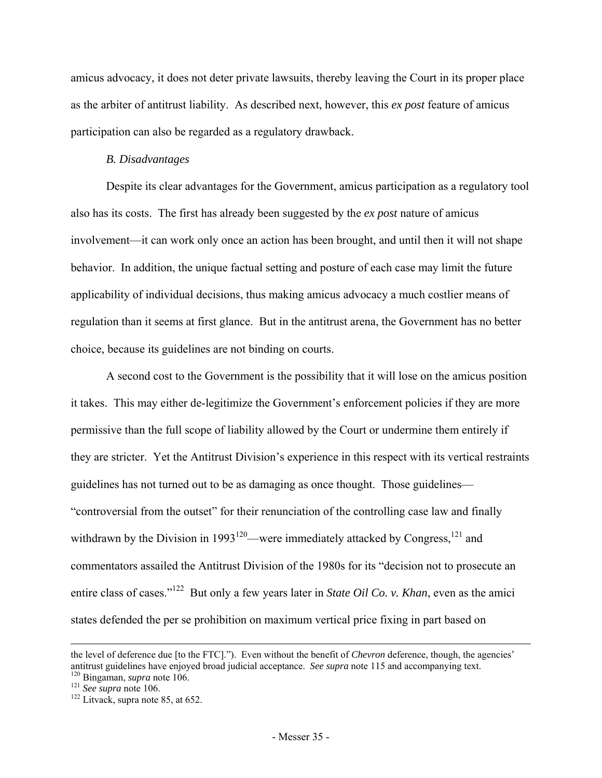amicus advocacy, it does not deter private lawsuits, thereby leaving the Court in its proper place as the arbiter of antitrust liability. As described next, however, this *ex post* feature of amicus participation can also be regarded as a regulatory drawback.

## *B. Disadvantages*

Despite its clear advantages for the Government, amicus participation as a regulatory tool also has its costs. The first has already been suggested by the *ex post* nature of amicus involvement—it can work only once an action has been brought, and until then it will not shape behavior. In addition, the unique factual setting and posture of each case may limit the future applicability of individual decisions, thus making amicus advocacy a much costlier means of regulation than it seems at first glance. But in the antitrust arena, the Government has no better choice, because its guidelines are not binding on courts.

A second cost to the Government is the possibility that it will lose on the amicus position it takes. This may either de-legitimize the Government's enforcement policies if they are more permissive than the full scope of liability allowed by the Court or undermine them entirely if they are stricter. Yet the Antitrust Division's experience in this respect with its vertical restraints guidelines has not turned out to be as damaging as once thought. Those guidelines— "controversial from the outset" for their renunciation of the controlling case law and finally withdrawn by the Division in 1993<sup>120</sup>—were immediately attacked by Congress,<sup>121</sup> and commentators assailed the Antitrust Division of the 1980s for its "decision not to prosecute an entire class of cases."122 But only a few years later in *State Oil Co. v. Khan*, even as the amici states defended the per se prohibition on maximum vertical price fixing in part based on

the level of deference due [to the FTC]."). Even without the benefit of *Chevron* deference, though, the agencies' antitrust guidelines have enjoyed broad judicial acceptance. *See supra* note 115 and accompanying text. <sup>120</sup> Bingaman, *supra* note 106. <sup>121</sup> *See supra* note 106. <sup>122</sup> Litvack, supra note 85, at 652.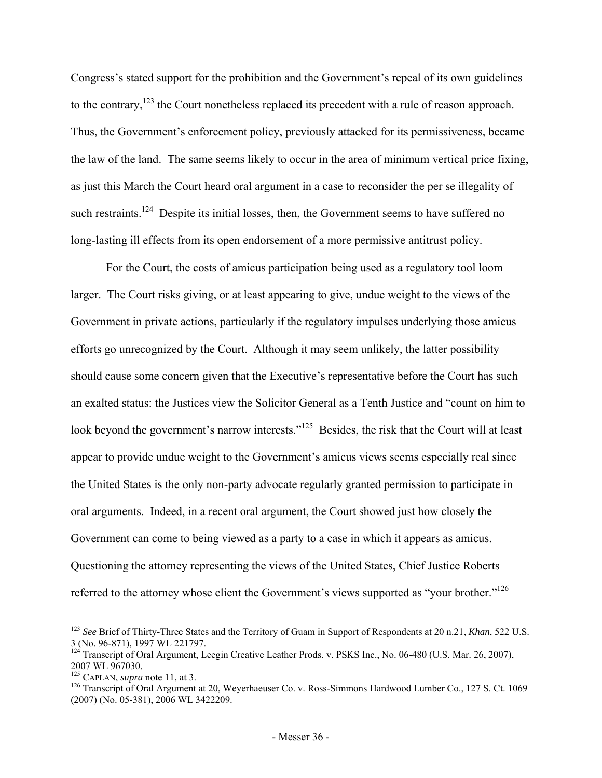Congress's stated support for the prohibition and the Government's repeal of its own guidelines to the contrary,<sup>123</sup> the Court nonetheless replaced its precedent with a rule of reason approach. Thus, the Government's enforcement policy, previously attacked for its permissiveness, became the law of the land. The same seems likely to occur in the area of minimum vertical price fixing, as just this March the Court heard oral argument in a case to reconsider the per se illegality of such restraints.<sup>124</sup> Despite its initial losses, then, the Government seems to have suffered no long-lasting ill effects from its open endorsement of a more permissive antitrust policy.

For the Court, the costs of amicus participation being used as a regulatory tool loom larger. The Court risks giving, or at least appearing to give, undue weight to the views of the Government in private actions, particularly if the regulatory impulses underlying those amicus efforts go unrecognized by the Court. Although it may seem unlikely, the latter possibility should cause some concern given that the Executive's representative before the Court has such an exalted status: the Justices view the Solicitor General as a Tenth Justice and "count on him to look beyond the government's narrow interests."<sup>125</sup> Besides, the risk that the Court will at least appear to provide undue weight to the Government's amicus views seems especially real since the United States is the only non-party advocate regularly granted permission to participate in oral arguments. Indeed, in a recent oral argument, the Court showed just how closely the Government can come to being viewed as a party to a case in which it appears as amicus. Questioning the attorney representing the views of the United States, Chief Justice Roberts referred to the attorney whose client the Government's views supported as "your brother."<sup>126</sup>

 $\overline{\phantom{a}}$ 

<sup>123</sup> *See* Brief of Thirty-Three States and the Territory of Guam in Support of Respondents at 20 n.21, *Khan*, 522 U.S. 3 (No. 96-871), 1997 WL 221797.

Transcript of Oral Argument, Leegin Creative Leather Prods. v. PSKS Inc., No. 06-480 (U.S. Mar. 26, 2007), 2007 WL 967030.<br><sup>125</sup> CAPLAN, *supra* note 11, at 3.

<sup>&</sup>lt;sup>126</sup> Transcript of Oral Argument at 20, Weyerhaeuser Co. v. Ross-Simmons Hardwood Lumber Co., 127 S. Ct. 1069 (2007) (No. 05-381), 2006 WL 3422209.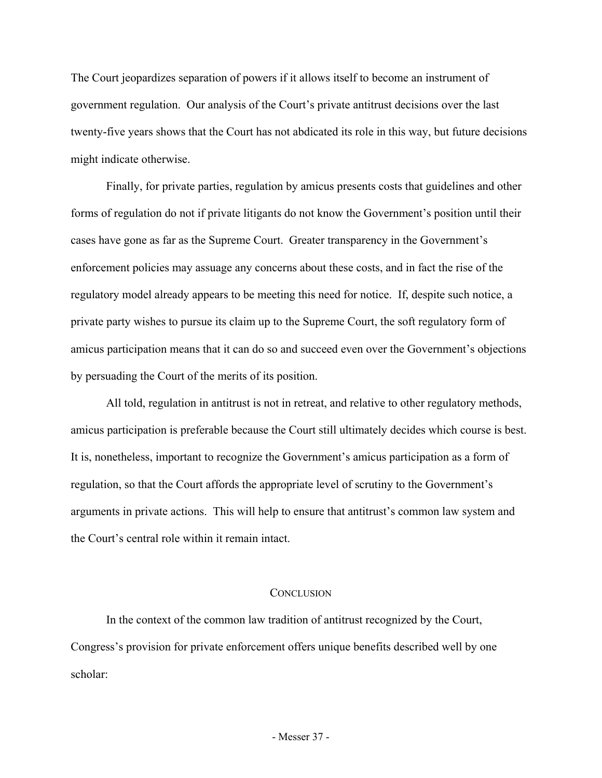The Court jeopardizes separation of powers if it allows itself to become an instrument of government regulation. Our analysis of the Court's private antitrust decisions over the last twenty-five years shows that the Court has not abdicated its role in this way, but future decisions might indicate otherwise.

Finally, for private parties, regulation by amicus presents costs that guidelines and other forms of regulation do not if private litigants do not know the Government's position until their cases have gone as far as the Supreme Court. Greater transparency in the Government's enforcement policies may assuage any concerns about these costs, and in fact the rise of the regulatory model already appears to be meeting this need for notice. If, despite such notice, a private party wishes to pursue its claim up to the Supreme Court, the soft regulatory form of amicus participation means that it can do so and succeed even over the Government's objections by persuading the Court of the merits of its position.

All told, regulation in antitrust is not in retreat, and relative to other regulatory methods, amicus participation is preferable because the Court still ultimately decides which course is best. It is, nonetheless, important to recognize the Government's amicus participation as a form of regulation, so that the Court affords the appropriate level of scrutiny to the Government's arguments in private actions. This will help to ensure that antitrust's common law system and the Court's central role within it remain intact.

#### **CONCLUSION**

In the context of the common law tradition of antitrust recognized by the Court, Congress's provision for private enforcement offers unique benefits described well by one scholar: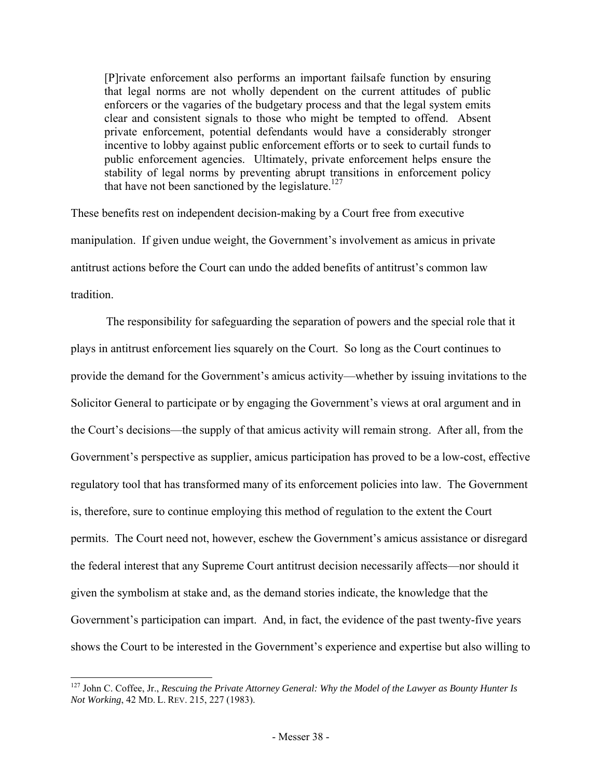[P]rivate enforcement also performs an important failsafe function by ensuring that legal norms are not wholly dependent on the current attitudes of public enforcers or the vagaries of the budgetary process and that the legal system emits clear and consistent signals to those who might be tempted to offend. Absent private enforcement, potential defendants would have a considerably stronger incentive to lobby against public enforcement efforts or to seek to curtail funds to public enforcement agencies. Ultimately, private enforcement helps ensure the stability of legal norms by preventing abrupt transitions in enforcement policy that have not been sanctioned by the legislature.<sup>127</sup>

These benefits rest on independent decision-making by a Court free from executive manipulation. If given undue weight, the Government's involvement as amicus in private antitrust actions before the Court can undo the added benefits of antitrust's common law tradition.

The responsibility for safeguarding the separation of powers and the special role that it plays in antitrust enforcement lies squarely on the Court. So long as the Court continues to provide the demand for the Government's amicus activity—whether by issuing invitations to the Solicitor General to participate or by engaging the Government's views at oral argument and in the Court's decisions—the supply of that amicus activity will remain strong. After all, from the Government's perspective as supplier, amicus participation has proved to be a low-cost, effective regulatory tool that has transformed many of its enforcement policies into law. The Government is, therefore, sure to continue employing this method of regulation to the extent the Court permits. The Court need not, however, eschew the Government's amicus assistance or disregard the federal interest that any Supreme Court antitrust decision necessarily affects—nor should it given the symbolism at stake and, as the demand stories indicate, the knowledge that the Government's participation can impart. And, in fact, the evidence of the past twenty-five years shows the Court to be interested in the Government's experience and expertise but also willing to

<sup>&</sup>lt;sup>127</sup> John C. Coffee, Jr., *Rescuing the Private Attorney General: Why the Model of the Lawyer as Bounty Hunter Is Not Working*, 42 MD. L. REV. 215, 227 (1983).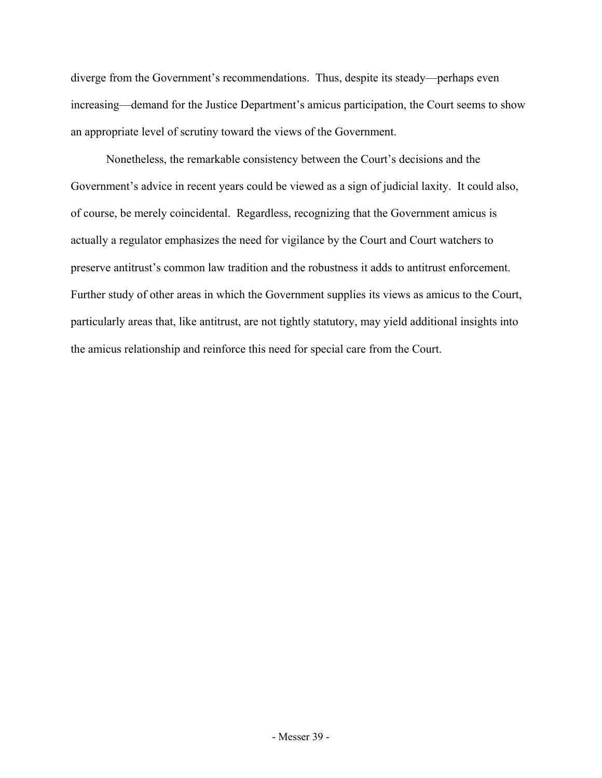diverge from the Government's recommendations. Thus, despite its steady—perhaps even increasing—demand for the Justice Department's amicus participation, the Court seems to show an appropriate level of scrutiny toward the views of the Government.

Nonetheless, the remarkable consistency between the Court's decisions and the Government's advice in recent years could be viewed as a sign of judicial laxity. It could also, of course, be merely coincidental. Regardless, recognizing that the Government amicus is actually a regulator emphasizes the need for vigilance by the Court and Court watchers to preserve antitrust's common law tradition and the robustness it adds to antitrust enforcement. Further study of other areas in which the Government supplies its views as amicus to the Court, particularly areas that, like antitrust, are not tightly statutory, may yield additional insights into the amicus relationship and reinforce this need for special care from the Court.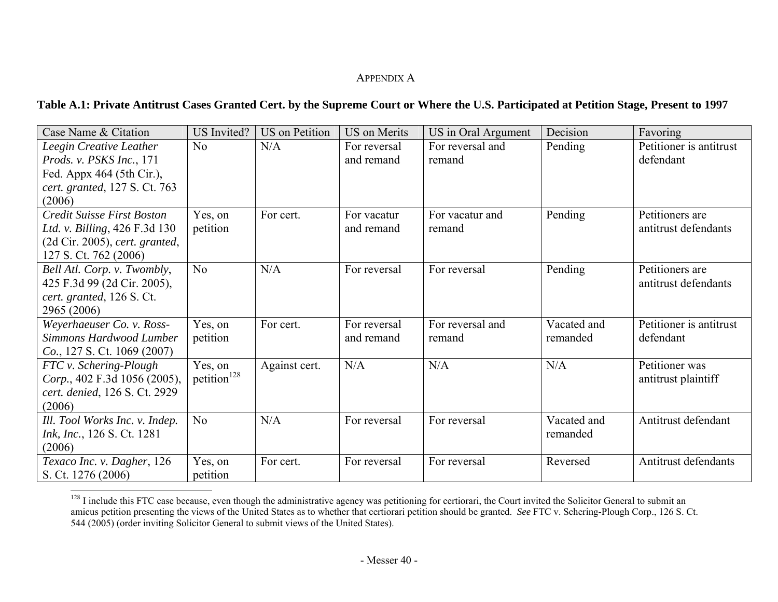# APPENDIX A

# **Table A.1: Private Antitrust Cases Granted Cert. by the Supreme Court or Where the U.S. Participated at Petition Stage, Present to 1997**

| Case Name & Citation             | <b>US</b> Invited?      | <b>US</b> on Petition | <b>US</b> on Merits | US in Oral Argument | Decision    | Favoring                |
|----------------------------------|-------------------------|-----------------------|---------------------|---------------------|-------------|-------------------------|
| Leegin Creative Leather          | N <sub>o</sub>          | N/A                   | For reversal        | For reversal and    | Pending     | Petitioner is antitrust |
| Prods. v. PSKS Inc., 171         |                         |                       | and remand          | remand              |             | defendant               |
| Fed. Appx 464 (5th Cir.),        |                         |                       |                     |                     |             |                         |
| cert. granted, 127 S. Ct. 763    |                         |                       |                     |                     |             |                         |
| (2006)                           |                         |                       |                     |                     |             |                         |
| Credit Suisse First Boston       | Yes, on                 | For cert.             | For vacatur         | For vacatur and     | Pending     | Petitioners are         |
| Ltd. v. Billing, 426 F.3d 130    | petition                |                       | and remand          | remand              |             | antitrust defendants    |
| $(2d$ Cir. 2005), cert. granted, |                         |                       |                     |                     |             |                         |
| 127 S. Ct. 762 (2006)            |                         |                       |                     |                     |             |                         |
| Bell Atl. Corp. v. Twombly,      | N <sub>o</sub>          | N/A                   | For reversal        | For reversal        | Pending     | Petitioners are         |
| 425 F.3d 99 (2d Cir. 2005),      |                         |                       |                     |                     |             | antitrust defendants    |
| cert. granted, 126 S. Ct.        |                         |                       |                     |                     |             |                         |
| 2965 (2006)                      |                         |                       |                     |                     |             |                         |
| Weyerhaeuser Co. v. Ross-        | Yes, on                 | For cert.             | For reversal        | For reversal and    | Vacated and | Petitioner is antitrust |
| Simmons Hardwood Lumber          | petition                |                       | and remand          | remand              | remanded    | defendant               |
| Co., 127 S. Ct. 1069 (2007)      |                         |                       |                     |                     |             |                         |
| FTC v. Schering-Plough           | Yes, on                 | Against cert.         | N/A                 | N/A                 | N/A         | Petitioner was          |
| Corp., 402 F.3d 1056 (2005),     | petition <sup>128</sup> |                       |                     |                     |             | antitrust plaintiff     |
| cert. denied, 126 S. Ct. 2929    |                         |                       |                     |                     |             |                         |
| (2006)                           |                         |                       |                     |                     |             |                         |
| Ill. Tool Works Inc. v. Indep.   | N <sub>o</sub>          | N/A                   | For reversal        | For reversal        | Vacated and | Antitrust defendant     |
| Ink, Inc., 126 S. Ct. 1281       |                         |                       |                     |                     | remanded    |                         |
| (2006)                           |                         |                       |                     |                     |             |                         |
| Texaco Inc. v. Dagher, 126       | Yes, on                 | For cert.             | For reversal        | For reversal        | Reversed    | Antitrust defendants    |
| S. Ct. 1276 (2006)               | petition                |                       |                     |                     |             |                         |

<sup>&</sup>lt;sup>128</sup> I include this FTC case because, even though the administrative agency was petitioning for certiorari, the Court invited the Solicitor General to submit an amicus petition presenting the views of the United States as to whether that certiorari petition should be granted. *See* FTC v. Schering-Plough Corp., 126 S. Ct. 544 (2005) (order inviting Solicitor General to submit views of the United States).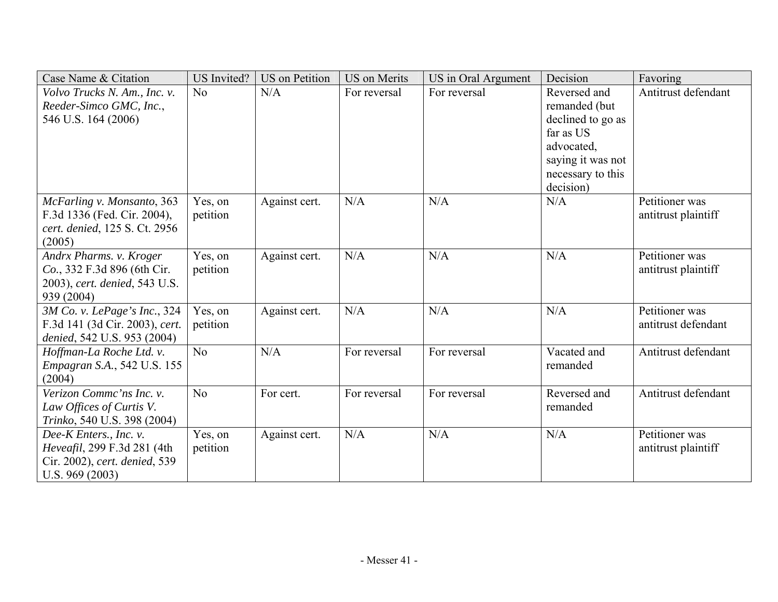| Case Name & Citation                                           | <b>US</b> Invited?  | <b>US</b> on Petition | <b>US</b> on Merits | US in Oral Argument | Decision                        | Favoring                              |
|----------------------------------------------------------------|---------------------|-----------------------|---------------------|---------------------|---------------------------------|---------------------------------------|
| Volvo Trucks N. Am., Inc. v.                                   | No                  | N/A                   | For reversal        | For reversal        | Reversed and                    | Antitrust defendant                   |
| Reeder-Simco GMC, Inc.,                                        |                     |                       |                     |                     | remanded (but                   |                                       |
| 546 U.S. 164 (2006)                                            |                     |                       |                     |                     | declined to go as               |                                       |
|                                                                |                     |                       |                     |                     | far as US                       |                                       |
|                                                                |                     |                       |                     |                     | advocated,<br>saying it was not |                                       |
|                                                                |                     |                       |                     |                     | necessary to this               |                                       |
|                                                                |                     |                       |                     |                     | decision)                       |                                       |
| McFarling v. Monsanto, 363                                     | Yes, on             | Against cert.         | N/A                 | N/A                 | N/A                             | Petitioner was                        |
| F.3d 1336 (Fed. Cir. 2004),                                    | petition            |                       |                     |                     |                                 | antitrust plaintiff                   |
| cert. denied, 125 S. Ct. 2956                                  |                     |                       |                     |                     |                                 |                                       |
| (2005)                                                         |                     |                       |                     |                     |                                 |                                       |
| Andrx Pharms. v. Kroger                                        | Yes, on             | Against cert.         | N/A                 | N/A                 | N/A                             | Petitioner was                        |
| Co., 332 F.3d 896 (6th Cir.                                    | petition            |                       |                     |                     |                                 | antitrust plaintiff                   |
| 2003), cert. denied, 543 U.S.                                  |                     |                       |                     |                     |                                 |                                       |
| 939 (2004)                                                     |                     |                       | N/A                 | N/A                 | N/A                             |                                       |
| 3M Co. v. LePage's Inc., 324<br>F.3d 141 (3d Cir. 2003), cert. | Yes, on<br>petition | Against cert.         |                     |                     |                                 | Petitioner was<br>antitrust defendant |
| denied, 542 U.S. 953 (2004)                                    |                     |                       |                     |                     |                                 |                                       |
| Hoffman-La Roche Ltd. v.                                       | No                  | N/A                   | For reversal        | For reversal        | Vacated and                     | Antitrust defendant                   |
| <i>Empagran S.A.</i> , 542 U.S. 155                            |                     |                       |                     |                     | remanded                        |                                       |
| (2004)                                                         |                     |                       |                     |                     |                                 |                                       |
| Verizon Commc'ns Inc. v.                                       | No                  | For cert.             | For reversal        | For reversal        | Reversed and                    | Antitrust defendant                   |
| Law Offices of Curtis V.                                       |                     |                       |                     |                     | remanded                        |                                       |
| Trinko, 540 U.S. 398 (2004)                                    |                     |                       |                     |                     |                                 |                                       |
| Dee-K Enters., Inc. v.                                         | Yes, on             | Against cert.         | N/A                 | N/A                 | N/A                             | Petitioner was                        |
| Heveafil, 299 F.3d 281 (4th                                    | petition            |                       |                     |                     |                                 | antitrust plaintiff                   |
| Cir. 2002), cert. denied, 539                                  |                     |                       |                     |                     |                                 |                                       |
| U.S. $969(2003)$                                               |                     |                       |                     |                     |                                 |                                       |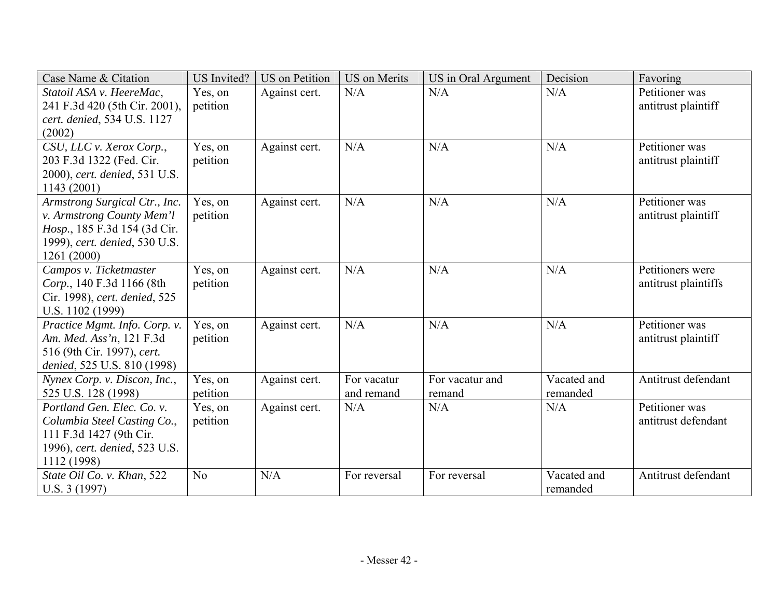| Case Name & Citation                                        | US Invited? | <b>US</b> on Petition | <b>US</b> on Merits | US in Oral Argument | Decision    | Favoring             |
|-------------------------------------------------------------|-------------|-----------------------|---------------------|---------------------|-------------|----------------------|
| Statoil ASA v. HeereMac,                                    | Yes, on     | Against cert.         | N/A                 | N/A                 | N/A         | Petitioner was       |
| 241 F.3d 420 (5th Cir. 2001),                               | petition    |                       |                     |                     |             | antitrust plaintiff  |
| cert. denied, 534 U.S. 1127<br>(2002)                       |             |                       |                     |                     |             |                      |
| CSU, LLC v. Xerox Corp.,                                    | Yes, on     | Against cert.         | N/A                 | N/A                 | N/A         | Petitioner was       |
| 203 F.3d 1322 (Fed. Cir.                                    | petition    |                       |                     |                     |             | antitrust plaintiff  |
| 2000), cert. denied, 531 U.S.                               |             |                       |                     |                     |             |                      |
| 1143 (2001)                                                 |             |                       |                     |                     |             |                      |
| Armstrong Surgical Ctr., Inc.                               | Yes, on     | Against cert.         | N/A                 | N/A                 | N/A         | Petitioner was       |
| v. Armstrong County Mem'l                                   | petition    |                       |                     |                     |             | antitrust plaintiff  |
| Hosp., 185 F.3d 154 (3d Cir.                                |             |                       |                     |                     |             |                      |
| 1999), cert. denied, 530 U.S.                               |             |                       |                     |                     |             |                      |
| 1261 (2000)                                                 |             |                       |                     |                     |             |                      |
| Campos v. Ticketmaster                                      | Yes, on     | Against cert.         | N/A                 | N/A                 | N/A         | Petitioners were     |
| Corp., 140 F.3d 1166 (8th                                   | petition    |                       |                     |                     |             | antitrust plaintiffs |
| Cir. 1998), cert. denied, 525                               |             |                       |                     |                     |             |                      |
| U.S. 1102 (1999)                                            |             |                       |                     |                     |             |                      |
| Practice Mgmt. Info. Corp. v.                               | Yes, on     | Against cert.         | N/A                 | N/A                 | N/A         | Petitioner was       |
| Am. Med. Ass'n, 121 F.3d                                    | petition    |                       |                     |                     |             | antitrust plaintiff  |
| 516 (9th Cir. 1997), cert.                                  |             |                       |                     |                     |             |                      |
| denied, 525 U.S. 810 (1998)<br>Nynex Corp. v. Discon, Inc., | Yes, on     | Against cert.         | For vacatur         | For vacatur and     | Vacated and | Antitrust defendant  |
| 525 U.S. 128 (1998)                                         | petition    |                       | and remand          | remand              | remanded    |                      |
| Portland Gen. Elec. Co. v.                                  | Yes, on     | Against cert.         | N/A                 | N/A                 | N/A         | Petitioner was       |
| Columbia Steel Casting Co.,                                 | petition    |                       |                     |                     |             | antitrust defendant  |
| 111 F.3d 1427 (9th Cir.                                     |             |                       |                     |                     |             |                      |
| 1996), cert. denied, 523 U.S.                               |             |                       |                     |                     |             |                      |
| 1112 (1998)                                                 |             |                       |                     |                     |             |                      |
| State Oil Co. v. Khan, 522                                  | No          | N/A                   | For reversal        | For reversal        | Vacated and | Antitrust defendant  |
| U.S. 3(1997)                                                |             |                       |                     |                     | remanded    |                      |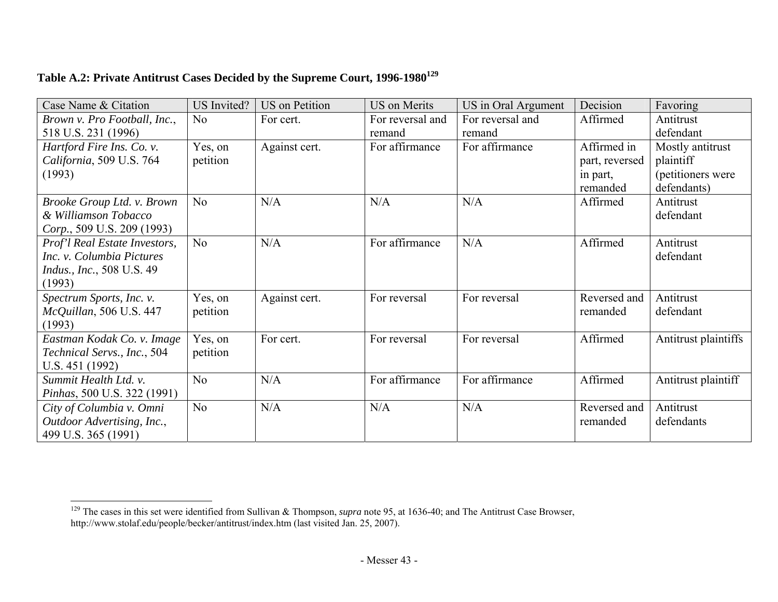| Table A.2: Private Antitrust Cases Decided by the Supreme Court, 1996-1980 <sup>129</sup> |  |
|-------------------------------------------------------------------------------------------|--|
|                                                                                           |  |

| Case Name & Citation                | <b>US</b> Invited? | <b>US</b> on Petition | <b>US</b> on Merits | US in Oral Argument | Decision       | Favoring             |
|-------------------------------------|--------------------|-----------------------|---------------------|---------------------|----------------|----------------------|
| Brown v. Pro Football, Inc.,        | N <sub>o</sub>     | For cert.             | For reversal and    | For reversal and    | Affirmed       | Antitrust            |
| 518 U.S. 231 (1996)                 |                    |                       | remand              | remand              |                | defendant            |
| Hartford Fire Ins. Co. v.           | Yes, on            | Against cert.         | For affirmance      | For affirmance      | Affirmed in    | Mostly antitrust     |
| California, 509 U.S. 764            | petition           |                       |                     |                     | part, reversed | plaintiff            |
| (1993)                              |                    |                       |                     |                     | in part,       | (petitioners were    |
|                                     |                    |                       |                     |                     | remanded       | defendants)          |
| Brooke Group Ltd. v. Brown          | N <sub>o</sub>     | N/A                   | N/A                 | N/A                 | Affirmed       | Antitrust            |
| & Williamson Tobacco                |                    |                       |                     |                     |                | defendant            |
| Corp., 509 U.S. 209 (1993)          |                    |                       |                     |                     |                |                      |
| Prof'l Real Estate Investors,       | N <sub>o</sub>     | N/A                   | For affirmance      | N/A                 | Affirmed       | Antitrust            |
| Inc. v. Columbia Pictures           |                    |                       |                     |                     |                | defendant            |
| <i>Indus., Inc., 508 U.S. 49</i>    |                    |                       |                     |                     |                |                      |
| (1993)                              |                    |                       |                     |                     |                |                      |
| Spectrum Sports, Inc. v.            | Yes, on            | Against cert.         | For reversal        | For reversal        | Reversed and   | Antitrust            |
| McQuillan, 506 U.S. 447<br>(1993)   | petition           |                       |                     |                     | remanded       | defendant            |
| Eastman Kodak Co. v. Image          | Yes, on            | For cert.             | For reversal        | For reversal        | Affirmed       | Antitrust plaintiffs |
| Technical Servs., Inc., 504         | petition           |                       |                     |                     |                |                      |
| U.S. 451 (1992)                     |                    |                       |                     |                     |                |                      |
| Summit Health Ltd. v.               | N <sub>o</sub>     | N/A                   | For affirmance      | For affirmance      | Affirmed       | Antitrust plaintiff  |
| <i>Pinhas</i> , 500 U.S. 322 (1991) |                    |                       |                     |                     |                |                      |
| City of Columbia v. Omni            | N <sub>o</sub>     | N/A                   | N/A                 | N/A                 | Reversed and   | Antitrust            |
| Outdoor Advertising, Inc.,          |                    |                       |                     |                     | remanded       | defendants           |
| 499 U.S. 365 (1991)                 |                    |                       |                     |                     |                |                      |

<sup>129</sup> The cases in this set were identified from Sullivan & Thompson, *supra* note 95, at 1636-40; and The Antitrust Case Browser, http://www.stolaf.edu/people/becker/antitrust/index.htm (last visited Jan. 25, 2007).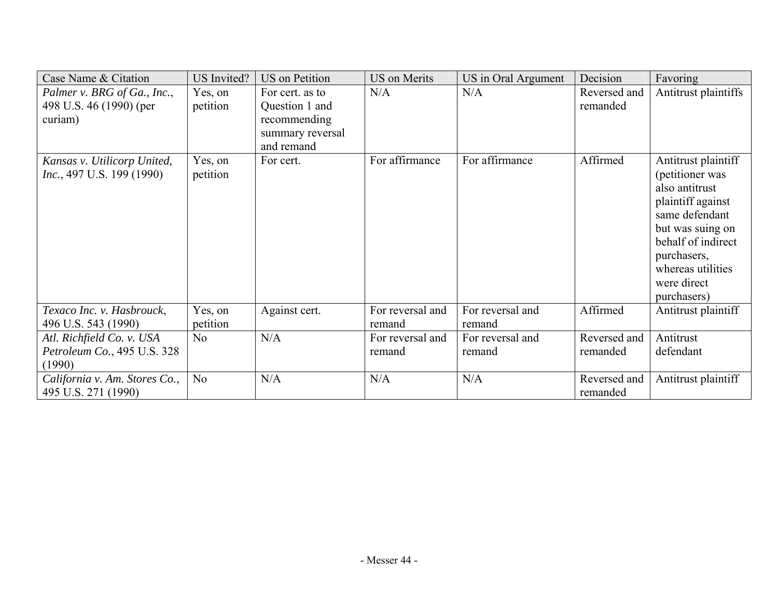| Case Name & Citation              | <b>US</b> Invited? | <b>US</b> on Petition | <b>US</b> on Merits | US in Oral Argument | Decision     | Favoring             |
|-----------------------------------|--------------------|-----------------------|---------------------|---------------------|--------------|----------------------|
| Palmer v. BRG of Ga., Inc.,       | Yes, on            | For cert. as to       | N/A                 | N/A                 | Reversed and | Antitrust plaintiffs |
| 498 U.S. 46 (1990) (per           | petition           | Question 1 and        |                     |                     | remanded     |                      |
| curiam)                           |                    | recommending          |                     |                     |              |                      |
|                                   |                    | summary reversal      |                     |                     |              |                      |
|                                   |                    | and remand            |                     |                     |              |                      |
| Kansas v. Utilicorp United,       | Yes, on            | For cert.             | For affirmance      | For affirmance      | Affirmed     | Antitrust plaintiff  |
| <i>Inc.</i> , 497 U.S. 199 (1990) | petition           |                       |                     |                     |              | (petitioner was      |
|                                   |                    |                       |                     |                     |              | also antitrust       |
|                                   |                    |                       |                     |                     |              | plaintiff against    |
|                                   |                    |                       |                     |                     |              | same defendant       |
|                                   |                    |                       |                     |                     |              | but was suing on     |
|                                   |                    |                       |                     |                     |              | behalf of indirect   |
|                                   |                    |                       |                     |                     |              | purchasers,          |
|                                   |                    |                       |                     |                     |              | whereas utilities    |
|                                   |                    |                       |                     |                     |              | were direct          |
|                                   |                    |                       |                     |                     |              | purchasers)          |
| Texaco Inc. v. Hasbrouck,         | Yes, on            | Against cert.         | For reversal and    | For reversal and    | Affirmed     | Antitrust plaintiff  |
| 496 U.S. 543 (1990)               | petition           |                       | remand              | remand              |              |                      |
| Atl. Richfield Co. v. USA         | N <sub>o</sub>     | N/A                   | For reversal and    | For reversal and    | Reversed and | Antitrust            |
| Petroleum Co., 495 U.S. 328       |                    |                       | remand              | remand              | remanded     | defendant            |
| (1990)                            |                    |                       |                     |                     |              |                      |
| California v. Am. Stores Co.,     | N <sub>o</sub>     | N/A                   | N/A                 | N/A                 | Reversed and | Antitrust plaintiff  |
| 495 U.S. 271 (1990)               |                    |                       |                     |                     | remanded     |                      |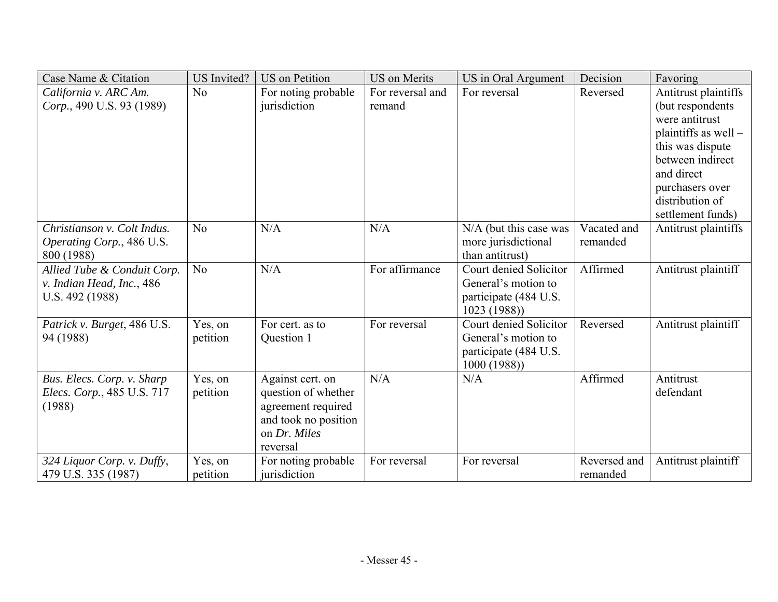| Case Name & Citation        | <b>US</b> Invited? | <b>US</b> on Petition | <b>US</b> on Merits | US in Oral Argument                 | Decision     | Favoring             |
|-----------------------------|--------------------|-----------------------|---------------------|-------------------------------------|--------------|----------------------|
| California v. ARC Am.       | N <sub>o</sub>     | For noting probable   | For reversal and    | For reversal                        | Reversed     | Antitrust plaintiffs |
| Corp., 490 U.S. 93 (1989)   |                    | jurisdiction          | remand              |                                     |              | (but respondents)    |
|                             |                    |                       |                     |                                     |              | were antitrust       |
|                             |                    |                       |                     |                                     |              | plaintiffs as well - |
|                             |                    |                       |                     |                                     |              | this was dispute     |
|                             |                    |                       |                     |                                     |              | between indirect     |
|                             |                    |                       |                     |                                     |              | and direct           |
|                             |                    |                       |                     |                                     |              | purchasers over      |
|                             |                    |                       |                     |                                     |              | distribution of      |
|                             |                    |                       |                     |                                     |              | settlement funds)    |
| Christianson v. Colt Indus. | N <sub>o</sub>     | N/A                   | N/A                 | N/A (but this case was              | Vacated and  | Antitrust plaintiffs |
| Operating Corp., 486 U.S.   |                    |                       |                     | more jurisdictional                 | remanded     |                      |
| 800 (1988)                  |                    |                       |                     | than antitrust)                     |              |                      |
| Allied Tube & Conduit Corp. | N <sub>o</sub>     | N/A                   | For affirmance      | Court denied Solicitor              | Affirmed     | Antitrust plaintiff  |
| v. Indian Head, Inc., 486   |                    |                       |                     | General's motion to                 |              |                      |
| U.S. 492 (1988)             |                    |                       |                     | participate (484 U.S.               |              |                      |
|                             |                    |                       |                     | 1023(1988)                          |              |                      |
| Patrick v. Burget, 486 U.S. | Yes, on            | For cert. as to       | For reversal        | Court denied Solicitor              | Reversed     | Antitrust plaintiff  |
| 94 (1988)                   | petition           | Question 1            |                     | General's motion to                 |              |                      |
|                             |                    |                       |                     | participate (484 U.S.<br>1000(1988) |              |                      |
| Bus. Elecs. Corp. v. Sharp  | Yes, on            | Against cert. on      | N/A                 | N/A                                 | Affirmed     | Antitrust            |
| Elecs. Corp., 485 U.S. 717  | petition           | question of whether   |                     |                                     |              | defendant            |
| (1988)                      |                    | agreement required    |                     |                                     |              |                      |
|                             |                    | and took no position  |                     |                                     |              |                      |
|                             |                    | on Dr. Miles          |                     |                                     |              |                      |
|                             |                    | reversal              |                     |                                     |              |                      |
| 324 Liquor Corp. v. Duffy,  | Yes, on            | For noting probable   | For reversal        | For reversal                        | Reversed and | Antitrust plaintiff  |
| 479 U.S. 335 (1987)         | petition           | jurisdiction          |                     |                                     | remanded     |                      |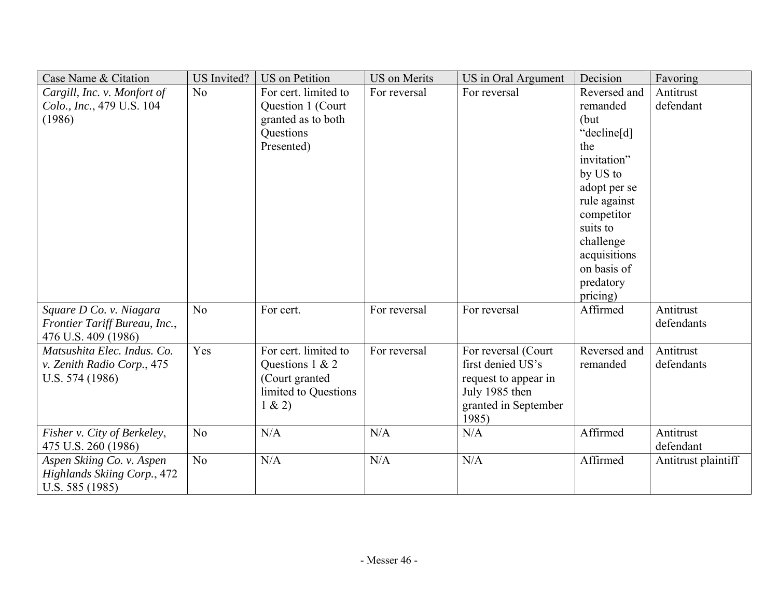| Case Name & Citation                                                            | <b>US</b> Invited? | <b>US</b> on Petition                                                                       | <b>US</b> on Merits | US in Oral Argument                                                                                                 | Decision                                                                                                                                                                              | Favoring                |
|---------------------------------------------------------------------------------|--------------------|---------------------------------------------------------------------------------------------|---------------------|---------------------------------------------------------------------------------------------------------------------|---------------------------------------------------------------------------------------------------------------------------------------------------------------------------------------|-------------------------|
| Cargill, Inc. v. Monfort of                                                     | No                 | For cert. limited to                                                                        | For reversal        | For reversal                                                                                                        | Reversed and                                                                                                                                                                          | Antitrust               |
| Colo., Inc., 479 U.S. 104<br>(1986)                                             |                    | Question 1 (Court<br>granted as to both<br>Questions<br>Presented)                          |                     |                                                                                                                     | remanded<br>(but)<br>"decline[d]<br>the<br>invitation"<br>by US to<br>adopt per se<br>rule against<br>competitor<br>suits to<br>challenge<br>acquisitions<br>on basis of<br>predatory | defendant               |
| Square D Co. v. Niagara<br>Frontier Tariff Bureau, Inc.,<br>476 U.S. 409 (1986) | N <sub>o</sub>     | For cert.                                                                                   | For reversal        | For reversal                                                                                                        | pricing)<br>Affirmed                                                                                                                                                                  | Antitrust<br>defendants |
| Matsushita Elec. Indus. Co.<br>v. Zenith Radio Corp., 475<br>U.S. 574 (1986)    | Yes                | For cert. limited to<br>Questions 1 & 2<br>(Court granted<br>limited to Questions<br>1 & 2) | For reversal        | For reversal (Court<br>first denied US's<br>request to appear in<br>July 1985 then<br>granted in September<br>1985) | Reversed and<br>remanded                                                                                                                                                              | Antitrust<br>defendants |
| Fisher v. City of Berkeley,<br>475 U.S. 260 (1986)                              | N <sub>o</sub>     | N/A                                                                                         | N/A                 | N/A                                                                                                                 | Affirmed                                                                                                                                                                              | Antitrust<br>defendant  |
| Aspen Skiing Co. v. Aspen<br>Highlands Skiing Corp., 472<br>U.S. $585(1985)$    | N <sub>o</sub>     | N/A                                                                                         | N/A                 | N/A                                                                                                                 | Affirmed                                                                                                                                                                              | Antitrust plaintiff     |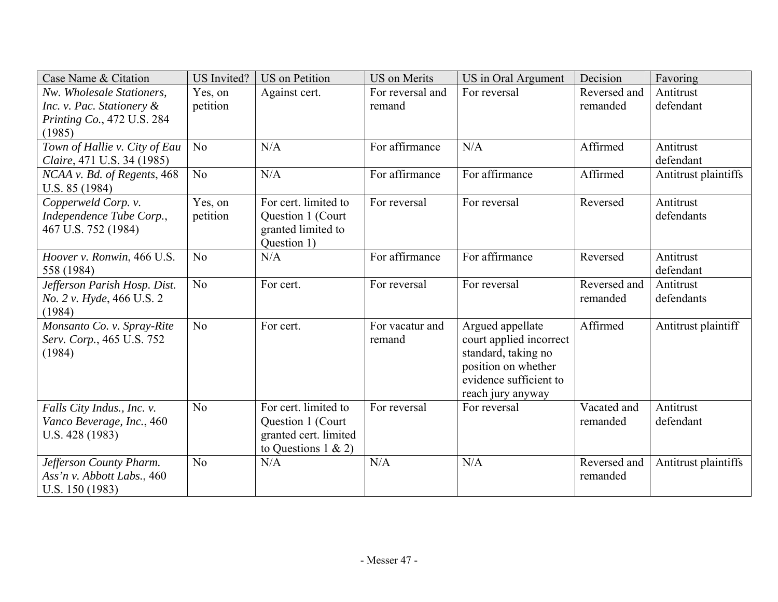| Nw. Wholesale Stationers,<br>Yes, on<br>For reversal and<br>For reversal<br>Reversed and<br>Antitrust<br>Against cert.<br>Inc. v. Pac. Stationery &<br>petition<br>defendant<br>remanded<br>remand<br>Printing Co., 472 U.S. 284<br>(1985)<br>Town of Hallie v. City of Eau<br>N <sub>o</sub><br>N/A<br>For affirmance<br>N/A<br>Affirmed<br>Antitrust<br>Claire, 471 U.S. 34 (1985)<br>defendant<br>N/A<br>For affirmance<br>For affirmance<br>Affirmed<br>No<br>Antitrust plaintiffs<br>NCAA v. Bd. of Regents, 468<br>U.S. 85 (1984)<br>For cert. limited to<br>Copperweld Corp. v.<br>For reversal<br>For reversal<br>Reversed<br>Antitrust<br>Yes, on<br>Independence Tube Corp.,<br>petition<br>defendants<br>Question 1 (Court)<br>467 U.S. 752 (1984)<br>granted limited to<br>Question 1)<br>For affirmance<br>For affirmance<br>No<br>N/A<br>Hoover v. Ronwin, 466 U.S.<br>Antitrust<br>Reversed<br>defendant<br>558 (1984)<br>Jefferson Parish Hosp. Dist.<br>No<br>For reversal<br>Reversed and<br>Antitrust<br>For cert.<br>For reversal<br>No. 2 v. Hyde, 466 U.S. 2<br>remanded<br>defendants<br>(1984)<br>Affirmed<br>N <sub>o</sub><br>Argued appellate<br>Antitrust plaintiff<br>Monsanto Co. v. Spray-Rite<br>For cert.<br>For vacatur and<br>Serv. Corp., 465 U.S. 752<br>court applied incorrect<br>remand<br>(1984)<br>standard, taking no<br>position on whether<br>evidence sufficient to<br>reach jury anyway<br>N <sub>o</sub><br>For cert. limited to<br>For reversal<br>Vacated and<br>For reversal<br>Antitrust<br>Falls City Indus., Inc. v.<br>Vanco Beverage, Inc., 460<br>Question 1 (Court)<br>defendant<br>remanded<br>granted cert. limited<br>U.S. $428(1983)$<br>to Questions $1 \& 2)$ | Case Name & Citation    | <b>US</b> Invited? | <b>US</b> on Petition | <b>US</b> on Merits | US in Oral Argument | Decision     | Favoring             |
|-------------------------------------------------------------------------------------------------------------------------------------------------------------------------------------------------------------------------------------------------------------------------------------------------------------------------------------------------------------------------------------------------------------------------------------------------------------------------------------------------------------------------------------------------------------------------------------------------------------------------------------------------------------------------------------------------------------------------------------------------------------------------------------------------------------------------------------------------------------------------------------------------------------------------------------------------------------------------------------------------------------------------------------------------------------------------------------------------------------------------------------------------------------------------------------------------------------------------------------------------------------------------------------------------------------------------------------------------------------------------------------------------------------------------------------------------------------------------------------------------------------------------------------------------------------------------------------------------------------------------------------------------------------------------------------------------------------------------------|-------------------------|--------------------|-----------------------|---------------------|---------------------|--------------|----------------------|
|                                                                                                                                                                                                                                                                                                                                                                                                                                                                                                                                                                                                                                                                                                                                                                                                                                                                                                                                                                                                                                                                                                                                                                                                                                                                                                                                                                                                                                                                                                                                                                                                                                                                                                                               |                         |                    |                       |                     |                     |              |                      |
|                                                                                                                                                                                                                                                                                                                                                                                                                                                                                                                                                                                                                                                                                                                                                                                                                                                                                                                                                                                                                                                                                                                                                                                                                                                                                                                                                                                                                                                                                                                                                                                                                                                                                                                               |                         |                    |                       |                     |                     |              |                      |
|                                                                                                                                                                                                                                                                                                                                                                                                                                                                                                                                                                                                                                                                                                                                                                                                                                                                                                                                                                                                                                                                                                                                                                                                                                                                                                                                                                                                                                                                                                                                                                                                                                                                                                                               |                         |                    |                       |                     |                     |              |                      |
|                                                                                                                                                                                                                                                                                                                                                                                                                                                                                                                                                                                                                                                                                                                                                                                                                                                                                                                                                                                                                                                                                                                                                                                                                                                                                                                                                                                                                                                                                                                                                                                                                                                                                                                               |                         |                    |                       |                     |                     |              |                      |
|                                                                                                                                                                                                                                                                                                                                                                                                                                                                                                                                                                                                                                                                                                                                                                                                                                                                                                                                                                                                                                                                                                                                                                                                                                                                                                                                                                                                                                                                                                                                                                                                                                                                                                                               |                         |                    |                       |                     |                     |              |                      |
|                                                                                                                                                                                                                                                                                                                                                                                                                                                                                                                                                                                                                                                                                                                                                                                                                                                                                                                                                                                                                                                                                                                                                                                                                                                                                                                                                                                                                                                                                                                                                                                                                                                                                                                               |                         |                    |                       |                     |                     |              |                      |
|                                                                                                                                                                                                                                                                                                                                                                                                                                                                                                                                                                                                                                                                                                                                                                                                                                                                                                                                                                                                                                                                                                                                                                                                                                                                                                                                                                                                                                                                                                                                                                                                                                                                                                                               |                         |                    |                       |                     |                     |              |                      |
|                                                                                                                                                                                                                                                                                                                                                                                                                                                                                                                                                                                                                                                                                                                                                                                                                                                                                                                                                                                                                                                                                                                                                                                                                                                                                                                                                                                                                                                                                                                                                                                                                                                                                                                               |                         |                    |                       |                     |                     |              |                      |
|                                                                                                                                                                                                                                                                                                                                                                                                                                                                                                                                                                                                                                                                                                                                                                                                                                                                                                                                                                                                                                                                                                                                                                                                                                                                                                                                                                                                                                                                                                                                                                                                                                                                                                                               |                         |                    |                       |                     |                     |              |                      |
|                                                                                                                                                                                                                                                                                                                                                                                                                                                                                                                                                                                                                                                                                                                                                                                                                                                                                                                                                                                                                                                                                                                                                                                                                                                                                                                                                                                                                                                                                                                                                                                                                                                                                                                               |                         |                    |                       |                     |                     |              |                      |
|                                                                                                                                                                                                                                                                                                                                                                                                                                                                                                                                                                                                                                                                                                                                                                                                                                                                                                                                                                                                                                                                                                                                                                                                                                                                                                                                                                                                                                                                                                                                                                                                                                                                                                                               |                         |                    |                       |                     |                     |              |                      |
|                                                                                                                                                                                                                                                                                                                                                                                                                                                                                                                                                                                                                                                                                                                                                                                                                                                                                                                                                                                                                                                                                                                                                                                                                                                                                                                                                                                                                                                                                                                                                                                                                                                                                                                               |                         |                    |                       |                     |                     |              |                      |
|                                                                                                                                                                                                                                                                                                                                                                                                                                                                                                                                                                                                                                                                                                                                                                                                                                                                                                                                                                                                                                                                                                                                                                                                                                                                                                                                                                                                                                                                                                                                                                                                                                                                                                                               |                         |                    |                       |                     |                     |              |                      |
|                                                                                                                                                                                                                                                                                                                                                                                                                                                                                                                                                                                                                                                                                                                                                                                                                                                                                                                                                                                                                                                                                                                                                                                                                                                                                                                                                                                                                                                                                                                                                                                                                                                                                                                               |                         |                    |                       |                     |                     |              |                      |
|                                                                                                                                                                                                                                                                                                                                                                                                                                                                                                                                                                                                                                                                                                                                                                                                                                                                                                                                                                                                                                                                                                                                                                                                                                                                                                                                                                                                                                                                                                                                                                                                                                                                                                                               |                         |                    |                       |                     |                     |              |                      |
|                                                                                                                                                                                                                                                                                                                                                                                                                                                                                                                                                                                                                                                                                                                                                                                                                                                                                                                                                                                                                                                                                                                                                                                                                                                                                                                                                                                                                                                                                                                                                                                                                                                                                                                               |                         |                    |                       |                     |                     |              |                      |
|                                                                                                                                                                                                                                                                                                                                                                                                                                                                                                                                                                                                                                                                                                                                                                                                                                                                                                                                                                                                                                                                                                                                                                                                                                                                                                                                                                                                                                                                                                                                                                                                                                                                                                                               |                         |                    |                       |                     |                     |              |                      |
|                                                                                                                                                                                                                                                                                                                                                                                                                                                                                                                                                                                                                                                                                                                                                                                                                                                                                                                                                                                                                                                                                                                                                                                                                                                                                                                                                                                                                                                                                                                                                                                                                                                                                                                               |                         |                    |                       |                     |                     |              |                      |
|                                                                                                                                                                                                                                                                                                                                                                                                                                                                                                                                                                                                                                                                                                                                                                                                                                                                                                                                                                                                                                                                                                                                                                                                                                                                                                                                                                                                                                                                                                                                                                                                                                                                                                                               |                         |                    |                       |                     |                     |              |                      |
|                                                                                                                                                                                                                                                                                                                                                                                                                                                                                                                                                                                                                                                                                                                                                                                                                                                                                                                                                                                                                                                                                                                                                                                                                                                                                                                                                                                                                                                                                                                                                                                                                                                                                                                               |                         |                    |                       |                     |                     |              |                      |
|                                                                                                                                                                                                                                                                                                                                                                                                                                                                                                                                                                                                                                                                                                                                                                                                                                                                                                                                                                                                                                                                                                                                                                                                                                                                                                                                                                                                                                                                                                                                                                                                                                                                                                                               |                         |                    |                       |                     |                     |              |                      |
|                                                                                                                                                                                                                                                                                                                                                                                                                                                                                                                                                                                                                                                                                                                                                                                                                                                                                                                                                                                                                                                                                                                                                                                                                                                                                                                                                                                                                                                                                                                                                                                                                                                                                                                               |                         |                    |                       |                     |                     |              |                      |
|                                                                                                                                                                                                                                                                                                                                                                                                                                                                                                                                                                                                                                                                                                                                                                                                                                                                                                                                                                                                                                                                                                                                                                                                                                                                                                                                                                                                                                                                                                                                                                                                                                                                                                                               |                         |                    |                       |                     |                     |              |                      |
|                                                                                                                                                                                                                                                                                                                                                                                                                                                                                                                                                                                                                                                                                                                                                                                                                                                                                                                                                                                                                                                                                                                                                                                                                                                                                                                                                                                                                                                                                                                                                                                                                                                                                                                               |                         |                    |                       |                     |                     |              |                      |
|                                                                                                                                                                                                                                                                                                                                                                                                                                                                                                                                                                                                                                                                                                                                                                                                                                                                                                                                                                                                                                                                                                                                                                                                                                                                                                                                                                                                                                                                                                                                                                                                                                                                                                                               |                         |                    |                       |                     |                     |              |                      |
|                                                                                                                                                                                                                                                                                                                                                                                                                                                                                                                                                                                                                                                                                                                                                                                                                                                                                                                                                                                                                                                                                                                                                                                                                                                                                                                                                                                                                                                                                                                                                                                                                                                                                                                               |                         |                    |                       |                     |                     |              |                      |
|                                                                                                                                                                                                                                                                                                                                                                                                                                                                                                                                                                                                                                                                                                                                                                                                                                                                                                                                                                                                                                                                                                                                                                                                                                                                                                                                                                                                                                                                                                                                                                                                                                                                                                                               | Jefferson County Pharm. | N <sub>o</sub>     | N/A                   | N/A                 | N/A                 | Reversed and | Antitrust plaintiffs |
| Ass'n v. Abbott Labs., 460<br>remanded                                                                                                                                                                                                                                                                                                                                                                                                                                                                                                                                                                                                                                                                                                                                                                                                                                                                                                                                                                                                                                                                                                                                                                                                                                                                                                                                                                                                                                                                                                                                                                                                                                                                                        |                         |                    |                       |                     |                     |              |                      |
| U.S. $150(1983)$                                                                                                                                                                                                                                                                                                                                                                                                                                                                                                                                                                                                                                                                                                                                                                                                                                                                                                                                                                                                                                                                                                                                                                                                                                                                                                                                                                                                                                                                                                                                                                                                                                                                                                              |                         |                    |                       |                     |                     |              |                      |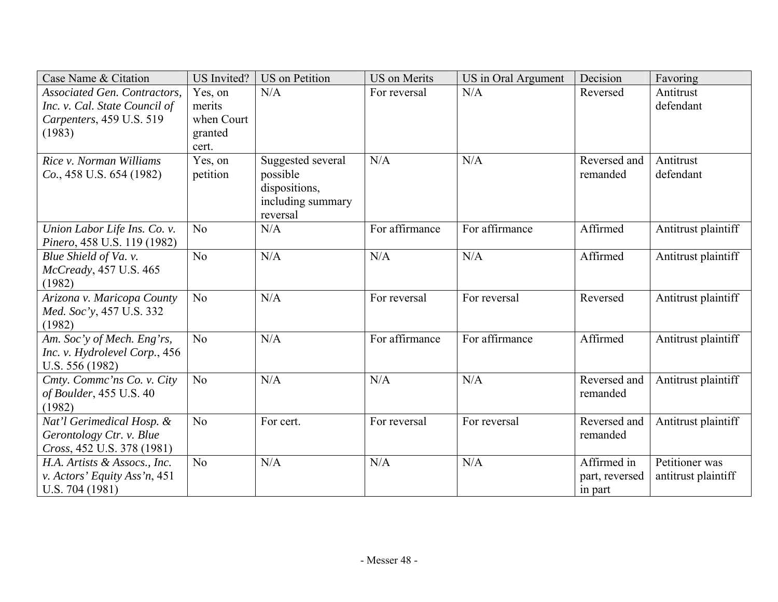| N/A<br><b>Associated Gen. Contractors,</b><br>Yes, on<br>N/A<br>For reversal<br>Reversed<br>Antitrust<br>Inc. v. Cal. State Council of<br>defendant<br>merits<br>Carpenters, 459 U.S. 519<br>when Court<br>(1983)<br>granted<br>cert.<br>N/A<br>N/A<br>Rice v. Norman Williams<br>Yes, on<br>Reversed and<br>Suggested several<br>Antitrust<br>$Co., 458$ U.S. 654 (1982)<br>possible<br>defendant<br>petition<br>remanded<br>dispositions,<br>including summary<br>reversal<br>For affirmance<br>For affirmance<br>Affirmed<br>Union Labor Life Ins. Co. v.<br>N/A<br>Antitrust plaintiff<br>No<br>Pinero, 458 U.S. 119 (1982)<br>N <sub>o</sub><br>N/A<br>N/A<br>Affirmed<br>Antitrust plaintiff<br>Blue Shield of Va. v.<br>N/A<br>McCready, 457 U.S. 465<br>(1982)<br>N <sub>o</sub><br>N/A<br>Arizona v. Maricopa County<br>Antitrust plaintiff<br>For reversal<br>Reversed<br>For reversal<br>Med. Soc'y, 457 U.S. 332 | Case Name & Citation | <b>US</b> Invited? | <b>US</b> on Petition | <b>US</b> on Merits | US in Oral Argument | Decision | Favoring |
|------------------------------------------------------------------------------------------------------------------------------------------------------------------------------------------------------------------------------------------------------------------------------------------------------------------------------------------------------------------------------------------------------------------------------------------------------------------------------------------------------------------------------------------------------------------------------------------------------------------------------------------------------------------------------------------------------------------------------------------------------------------------------------------------------------------------------------------------------------------------------------------------------------------------------|----------------------|--------------------|-----------------------|---------------------|---------------------|----------|----------|
|                                                                                                                                                                                                                                                                                                                                                                                                                                                                                                                                                                                                                                                                                                                                                                                                                                                                                                                              |                      |                    |                       |                     |                     |          |          |
|                                                                                                                                                                                                                                                                                                                                                                                                                                                                                                                                                                                                                                                                                                                                                                                                                                                                                                                              |                      |                    |                       |                     |                     |          |          |
|                                                                                                                                                                                                                                                                                                                                                                                                                                                                                                                                                                                                                                                                                                                                                                                                                                                                                                                              |                      |                    |                       |                     |                     |          |          |
|                                                                                                                                                                                                                                                                                                                                                                                                                                                                                                                                                                                                                                                                                                                                                                                                                                                                                                                              |                      |                    |                       |                     |                     |          |          |
|                                                                                                                                                                                                                                                                                                                                                                                                                                                                                                                                                                                                                                                                                                                                                                                                                                                                                                                              |                      |                    |                       |                     |                     |          |          |
|                                                                                                                                                                                                                                                                                                                                                                                                                                                                                                                                                                                                                                                                                                                                                                                                                                                                                                                              |                      |                    |                       |                     |                     |          |          |
|                                                                                                                                                                                                                                                                                                                                                                                                                                                                                                                                                                                                                                                                                                                                                                                                                                                                                                                              |                      |                    |                       |                     |                     |          |          |
|                                                                                                                                                                                                                                                                                                                                                                                                                                                                                                                                                                                                                                                                                                                                                                                                                                                                                                                              |                      |                    |                       |                     |                     |          |          |
|                                                                                                                                                                                                                                                                                                                                                                                                                                                                                                                                                                                                                                                                                                                                                                                                                                                                                                                              |                      |                    |                       |                     |                     |          |          |
|                                                                                                                                                                                                                                                                                                                                                                                                                                                                                                                                                                                                                                                                                                                                                                                                                                                                                                                              |                      |                    |                       |                     |                     |          |          |
|                                                                                                                                                                                                                                                                                                                                                                                                                                                                                                                                                                                                                                                                                                                                                                                                                                                                                                                              |                      |                    |                       |                     |                     |          |          |
|                                                                                                                                                                                                                                                                                                                                                                                                                                                                                                                                                                                                                                                                                                                                                                                                                                                                                                                              |                      |                    |                       |                     |                     |          |          |
|                                                                                                                                                                                                                                                                                                                                                                                                                                                                                                                                                                                                                                                                                                                                                                                                                                                                                                                              |                      |                    |                       |                     |                     |          |          |
|                                                                                                                                                                                                                                                                                                                                                                                                                                                                                                                                                                                                                                                                                                                                                                                                                                                                                                                              |                      |                    |                       |                     |                     |          |          |
| (1982)                                                                                                                                                                                                                                                                                                                                                                                                                                                                                                                                                                                                                                                                                                                                                                                                                                                                                                                       |                      |                    |                       |                     |                     |          |          |
| For affirmance<br>For affirmance<br>Affirmed<br>N <sub>o</sub><br>N/A<br>Am. Soc'y of Mech. Eng'rs,<br>Antitrust plaintiff                                                                                                                                                                                                                                                                                                                                                                                                                                                                                                                                                                                                                                                                                                                                                                                                   |                      |                    |                       |                     |                     |          |          |
| Inc. v. Hydrolevel Corp., 456                                                                                                                                                                                                                                                                                                                                                                                                                                                                                                                                                                                                                                                                                                                                                                                                                                                                                                |                      |                    |                       |                     |                     |          |          |
| U.S. 556 (1982)                                                                                                                                                                                                                                                                                                                                                                                                                                                                                                                                                                                                                                                                                                                                                                                                                                                                                                              |                      |                    |                       |                     |                     |          |          |
| N <sub>o</sub><br>N/A<br>N/A<br>N/A<br>Cmty. Commc'ns Co. v. City<br>Reversed and<br>Antitrust plaintiff                                                                                                                                                                                                                                                                                                                                                                                                                                                                                                                                                                                                                                                                                                                                                                                                                     |                      |                    |                       |                     |                     |          |          |
| of Boulder, 455 U.S. 40<br>remanded                                                                                                                                                                                                                                                                                                                                                                                                                                                                                                                                                                                                                                                                                                                                                                                                                                                                                          |                      |                    |                       |                     |                     |          |          |
| (1982)                                                                                                                                                                                                                                                                                                                                                                                                                                                                                                                                                                                                                                                                                                                                                                                                                                                                                                                       |                      |                    |                       |                     |                     |          |          |
| Nat'l Gerimedical Hosp. &<br>N <sub>o</sub><br>For reversal<br>Antitrust plaintiff<br>For cert.<br>For reversal<br>Reversed and                                                                                                                                                                                                                                                                                                                                                                                                                                                                                                                                                                                                                                                                                                                                                                                              |                      |                    |                       |                     |                     |          |          |
| Gerontology Ctr. v. Blue<br>remanded                                                                                                                                                                                                                                                                                                                                                                                                                                                                                                                                                                                                                                                                                                                                                                                                                                                                                         |                      |                    |                       |                     |                     |          |          |
| Cross, 452 U.S. 378 (1981)<br>N/A<br>N/A<br>N/A<br>Affirmed in<br>Petitioner was<br>No<br>H.A. Artists & Assocs., Inc.                                                                                                                                                                                                                                                                                                                                                                                                                                                                                                                                                                                                                                                                                                                                                                                                       |                      |                    |                       |                     |                     |          |          |
| v. Actors' Equity Ass'n, 451<br>antitrust plaintiff<br>part, reversed                                                                                                                                                                                                                                                                                                                                                                                                                                                                                                                                                                                                                                                                                                                                                                                                                                                        |                      |                    |                       |                     |                     |          |          |
| U.S. $704(1981)$<br>in part                                                                                                                                                                                                                                                                                                                                                                                                                                                                                                                                                                                                                                                                                                                                                                                                                                                                                                  |                      |                    |                       |                     |                     |          |          |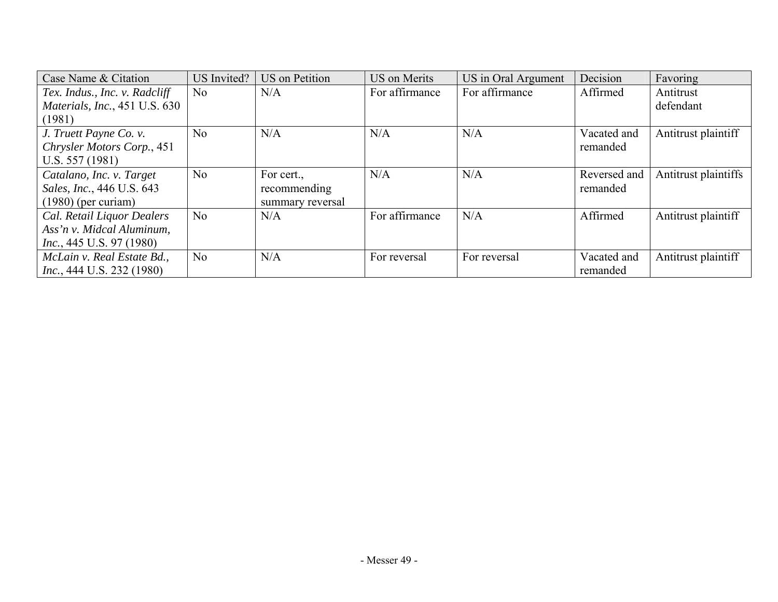| Case Name & Citation                 | US Invited?    | <b>US</b> on Petition | US on Merits   | US in Oral Argument | Decision     | Favoring             |
|--------------------------------------|----------------|-----------------------|----------------|---------------------|--------------|----------------------|
| Tex. Indus., Inc. v. Radcliff        | No             | N/A                   | For affirmance | For affirmance      | Affirmed     | Antitrust            |
| <i>Materials, Inc., 451 U.S. 630</i> |                |                       |                |                     |              | defendant            |
| (1981)                               |                |                       |                |                     |              |                      |
| J. Truett Payne Co. v.               | N <sub>o</sub> | N/A                   | N/A            | N/A                 | Vacated and  | Antitrust plaintiff  |
| Chrysler Motors Corp., 451           |                |                       |                |                     | remanded     |                      |
| U.S. $557(1981)$                     |                |                       |                |                     |              |                      |
| Catalano, Inc. v. Target             | N <sub>o</sub> | For cert.,            | N/A            | N/A                 | Reversed and | Antitrust plaintiffs |
| Sales, Inc., 446 U.S. 643            |                | recommending          |                |                     | remanded     |                      |
| $(1980)$ (per curiam)                |                | summary reversal      |                |                     |              |                      |
| Cal. Retail Liquor Dealers           | N <sub>o</sub> | N/A                   | For affirmance | N/A                 | Affirmed     | Antitrust plaintiff  |
| Ass'n v. Midcal Aluminum,            |                |                       |                |                     |              |                      |
| <i>Inc.</i> , 445 U.S. 97 (1980)     |                |                       |                |                     |              |                      |
| McLain v. Real Estate Bd.,           | N <sub>o</sub> | N/A                   | For reversal   | For reversal        | Vacated and  | Antitrust plaintiff  |
| <i>Inc.</i> , 444 U.S. 232 (1980)    |                |                       |                |                     | remanded     |                      |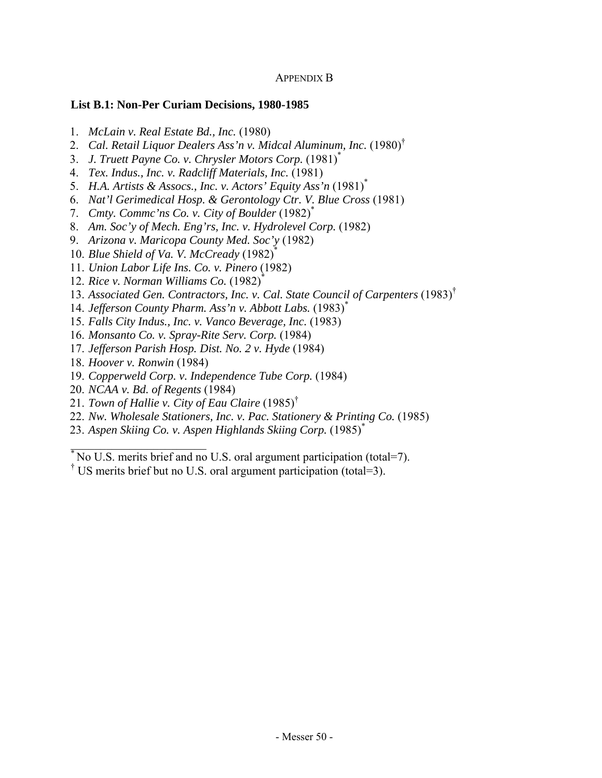# APPENDIX B

## **List B.1: Non-Per Curiam Decisions, 1980-1985**

- 1. *McLain v. Real Estate Bd., Inc.* (1980)
- 2. *Cal. Retail Liquor Dealers Ass'n v. Midcal Aluminum, Inc.* (1980)†
- 3. *J. Truett Payne Co. v. Chrysler Motors Corp.* (1981)\*
- 4. *Tex. Indus., Inc. v. Radcliff Materials, Inc.* (1981)
- 5. H.A. Artists & Assocs., Inc. v. Actors' Equity Ass'n (1981)<sup>\*</sup>
- 6. *Nat'l Gerimedical Hosp. & Gerontology Ctr. V. Blue Cross* (1981)
- 7. *Cmty. Commc'ns Co. v. City of Boulder* (1982)\*
- 8. *Am. Soc'y of Mech. Eng'rs, Inc. v. Hydrolevel Corp.* (1982)
- 9. *Arizona v. Maricopa County Med. Soc'y* (1982)
- 10. *Blue Shield of Va. V. McCready* (1982)\*
- 11. *Union Labor Life Ins. Co. v. Pinero* (1982)
- 12. *Rice v. Norman Williams Co.* (1982)\*
- 13. *Associated Gen. Contractors, Inc. v. Cal. State Council of Carpenters* (1983)†
- 14. *Jefferson County Pharm. Ass'n v. Abbott Labs.* (1983)\*
- 15. *Falls City Indus., Inc. v. Vanco Beverage, Inc.* (1983)
- 16. *Monsanto Co. v. Spray-Rite Serv. Corp.* (1984)
- 17. *Jefferson Parish Hosp. Dist. No. 2 v. Hyde* (1984)
- 18. *Hoover v. Ronwin* (1984)

 $\mathcal{L}_\text{max}$  , where  $\mathcal{L}_\text{max}$  , we have the set of  $\mathcal{L}_\text{max}$ 

- 19. *Copperweld Corp. v. Independence Tube Corp.* (1984)
- 20. *NCAA v. Bd. of Regents* (1984)
- 21. *Town of Hallie v. City of Eau Claire* (1985)†
- 22. *Nw. Wholesale Stationers, Inc. v. Pac. Stationery & Printing Co.* (1985)
- 23. *Aspen Skiing Co. v. Aspen Highlands Skiing Corp.* (1985)\*

† US merits brief but no U.S. oral argument participation (total=3).

<sup>\*</sup> No U.S. merits brief and no U.S. oral argument participation (total=7).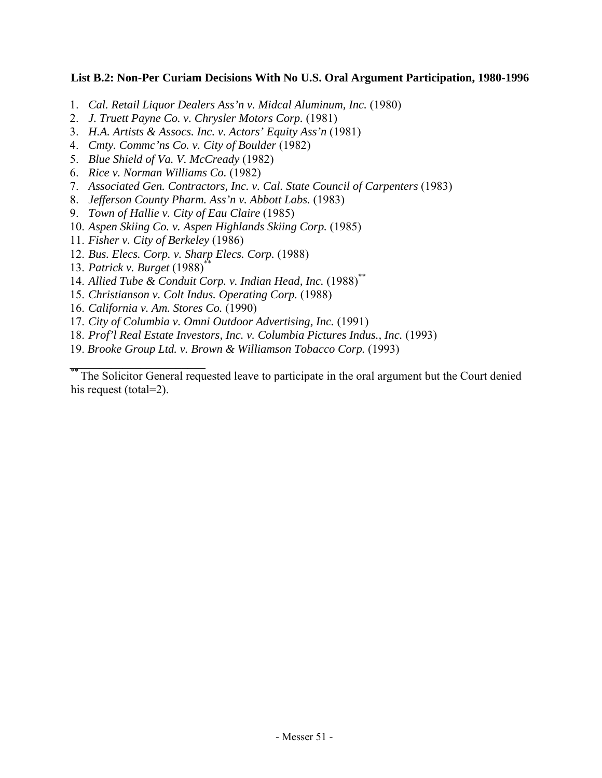# **List B.2: Non-Per Curiam Decisions With No U.S. Oral Argument Participation, 1980-1996**

- 1. *Cal. Retail Liquor Dealers Ass'n v. Midcal Aluminum, Inc.* (1980)
- 2. *J. Truett Payne Co. v. Chrysler Motors Corp.* (1981)
- 3. *H.A. Artists & Assocs. Inc. v. Actors' Equity Ass'n* (1981)
- 4. *Cmty. Commc'ns Co. v. City of Boulder* (1982)
- 5. *Blue Shield of Va. V. McCready* (1982)
- 6. *Rice v. Norman Williams Co.* (1982)
- 7. *Associated Gen. Contractors, Inc. v. Cal. State Council of Carpenters* (1983)
- 8. *Jefferson County Pharm. Ass'n v. Abbott Labs.* (1983)
- 9. *Town of Hallie v. City of Eau Claire* (1985)
- 10. *Aspen Skiing Co. v. Aspen Highlands Skiing Corp.* (1985)
- 11. *Fisher v. City of Berkeley* (1986)
- 12. *Bus. Elecs. Corp. v. Sharp Elecs. Corp.* (1988)
- 13. *Patrick v. Burget* (1988)\*\*

\_\_\_\_\_\_\_\_\_\_\_\_\_\_\_\_\_\_\_\_\_\_\_

- 14. *Allied Tube & Conduit Corp. v. Indian Head, Inc.* (1988)\*\*
- 15. *Christianson v. Colt Indus. Operating Corp.* (1988)
- 16. *California v. Am. Stores Co.* (1990)
- 17. *City of Columbia v. Omni Outdoor Advertising, Inc.* (1991)
- 18. *Prof'l Real Estate Investors, Inc. v. Columbia Pictures Indus., Inc.* (1993)
- 19. *Brooke Group Ltd. v. Brown & Williamson Tobacco Corp.* (1993)

<sup>\*\*\*</sup> The Solicitor General requested leave to participate in the oral argument but the Court denied his request (total=2).